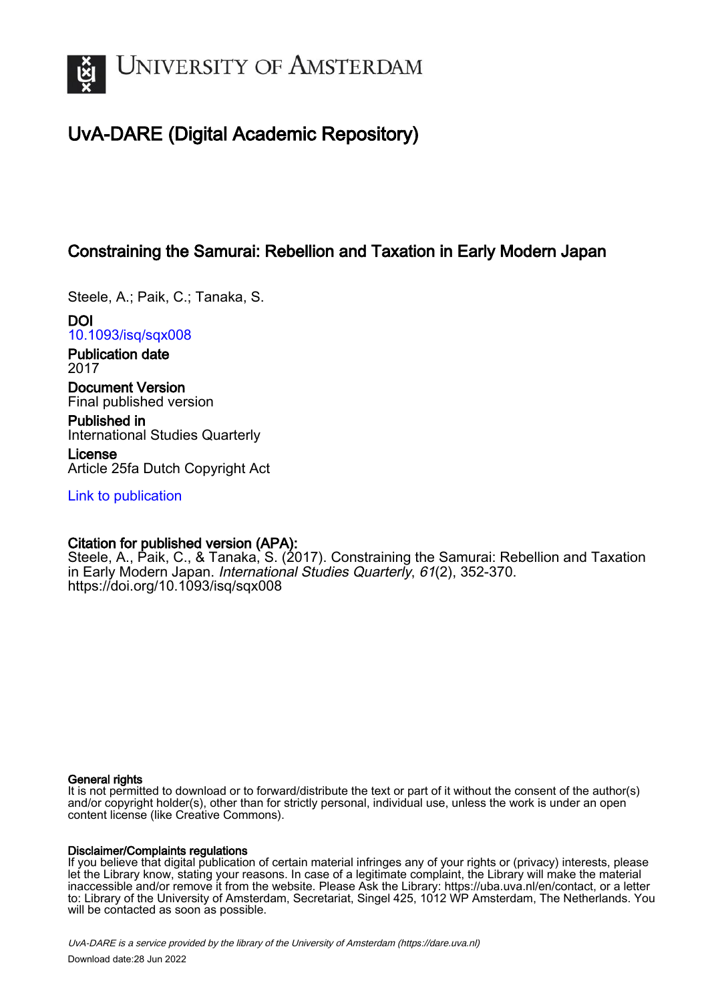

# UvA-DARE (Digital Academic Repository)

# Constraining the Samurai: Rebellion and Taxation in Early Modern Japan

Steele, A.; Paik, C.; Tanaka, S.

DOI [10.1093/isq/sqx008](https://doi.org/10.1093/isq/sqx008)

Publication date 2017

Document Version Final published version

Published in International Studies Quarterly

License Article 25fa Dutch Copyright Act

[Link to publication](https://dare.uva.nl/personal/pure/en/publications/constraining-the-samurai-rebellion-and-taxation-in-early-modern-japan(c864a8b6-728e-4c44-be7b-d74e0dec46d3).html)

# Citation for published version (APA):

Steele, A., Paik, C., & Tanaka, S. (2017). Constraining the Samurai: Rebellion and Taxation in Early Modern Japan. International Studies Quarterly, 61(2), 352-370. <https://doi.org/10.1093/isq/sqx008>

# General rights

It is not permitted to download or to forward/distribute the text or part of it without the consent of the author(s) and/or copyright holder(s), other than for strictly personal, individual use, unless the work is under an open content license (like Creative Commons).

# Disclaimer/Complaints regulations

If you believe that digital publication of certain material infringes any of your rights or (privacy) interests, please let the Library know, stating your reasons. In case of a legitimate complaint, the Library will make the material inaccessible and/or remove it from the website. Please Ask the Library: https://uba.uva.nl/en/contact, or a letter to: Library of the University of Amsterdam, Secretariat, Singel 425, 1012 WP Amsterdam, The Netherlands. You will be contacted as soon as possible.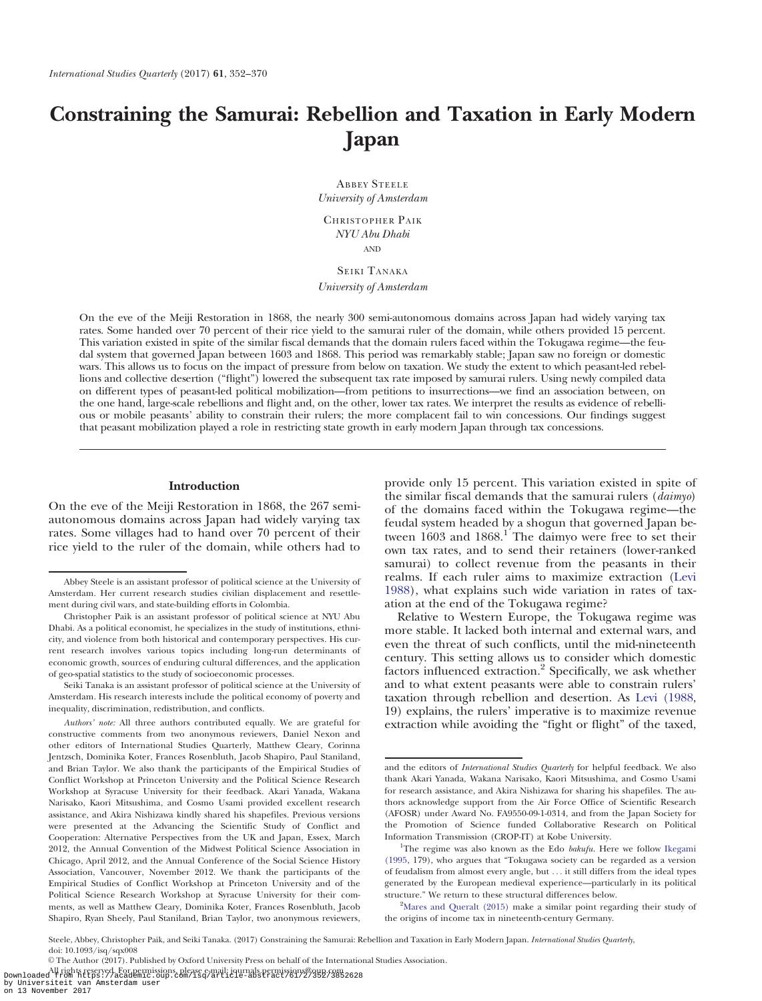# Constraining the Samurai: Rebellion and Taxation in Early Modern Japan

ABBEY STEELE University of Amsterdam

CHRISTOPHER PAIK NYU Abu Dhabi AND

SEIKI TANAKA University of Amsterdam

On the eve of the Meiji Restoration in 1868, the nearly 300 semi-autonomous domains across Japan had widely varying tax rates. Some handed over 70 percent of their rice yield to the samurai ruler of the domain, while others provided 15 percent. This variation existed in spite of the similar fiscal demands that the domain rulers faced within the Tokugawa regime—the feudal system that governed Japan between 1603 and 1868. This period was remarkably stable; Japan saw no foreign or domestic wars. This allows us to focus on the impact of pressure from below on taxation. We study the extent to which peasant-led rebellions and collective desertion ("flight") lowered the subsequent tax rate imposed by samurai rulers. Using newly compiled data on different types of peasant-led political mobilization—from petitions to insurrections—we find an association between, on the one hand, large-scale rebellions and flight and, on the other, lower tax rates. We interpret the results as evidence of rebellious or mobile peasants' ability to constrain their rulers; the more complacent fail to win concessions. Our findings suggest that peasant mobilization played a role in restricting state growth in early modern Japan through tax concessions.

## Introduction

On the eve of the Meiji Restoration in 1868, the 267 semiautonomous domains across Japan had widely varying tax rates. Some villages had to hand over 70 percent of their rice yield to the ruler of the domain, while others had to

Seiki Tanaka is an assistant professor of political science at the University of Amsterdam. His research interests include the political economy of poverty and inequality, discrimination, redistribution, and conflicts.

Authors' note: All three authors contributed equally. We are grateful for constructive comments from two anonymous reviewers, Daniel Nexon and other editors of International Studies Quarterly, Matthew Cleary, Corinna Jentzsch, Dominika Koter, Frances Rosenbluth, Jacob Shapiro, Paul Staniland, and Brian Taylor. We also thank the participants of the Empirical Studies of Conflict Workshop at Princeton University and the Political Science Research Workshop at Syracuse University for their feedback. Akari Yanada, Wakana Narisako, Kaori Mitsushima, and Cosmo Usami provided excellent research assistance, and Akira Nishizawa kindly shared his shapefiles. Previous versions were presented at the Advancing the Scientific Study of Conflict and Cooperation: Alternative Perspectives from the UK and Japan, Essex, March 2012, the Annual Convention of the Midwest Political Science Association in Chicago, April 2012, and the Annual Conference of the Social Science History Association, Vancouver, November 2012. We thank the participants of the Empirical Studies of Conflict Workshop at Princeton University and of the Political Science Research Workshop at Syracuse University for their comments, as well as Matthew Cleary, Dominika Koter, Frances Rosenbluth, Jacob Shapiro, Ryan Sheely, Paul Staniland, Brian Taylor, two anonymous reviewers,

provide only 15 percent. This variation existed in spite of the similar fiscal demands that the samurai rulers (daimyo) of the domains faced within the Tokugawa regime—the feudal system headed by a shogun that governed Japan between  $1603$  and  $1868$ <sup>1</sup>. The daimyo were free to set their own tax rates, and to send their retainers (lower-ranked samurai) to collect revenue from the peasants in their realms. If each ruler aims to maximize extraction ([Levi](#page-15-0) [1988](#page-15-0)), what explains such wide variation in rates of taxation at the end of the Tokugawa regime?

Relative to Western Europe, the Tokugawa regime was more stable. It lacked both internal and external wars, and even the threat of such conflicts, until the mid-nineteenth century. This setting allows us to consider which domestic factors influenced extraction.<sup>2</sup> Specifically, we ask whether and to what extent peasants were able to constrain rulers' taxation through rebellion and desertion. As [Levi \(1988,](#page-15-0) 19) explains, the rulers' imperative is to maximize revenue extraction while avoiding the "fight or flight" of the taxed,

V<sup>C</sup> The Author (2017). Published by Oxford University Press on behalf of the International Studies Association.

by Universiteit van Amsterdam user on 13 November 2017

Abbey Steele is an assistant professor of political science at the University of Amsterdam. Her current research studies civilian displacement and resettlement during civil wars, and state-building efforts in Colombia.

Christopher Paik is an assistant professor of political science at NYU Abu Dhabi. As a political economist, he specializes in the study of institutions, ethnicity, and violence from both historical and contemporary perspectives. His current research involves various topics including long-run determinants of economic growth, sources of enduring cultural differences, and the application of geo-spatial statistics to the study of socioeconomic processes.

and the editors of International Studies Quarterly for helpful feedback. We also thank Akari Yanada, Wakana Narisako, Kaori Mitsushima, and Cosmo Usami for research assistance, and Akira Nishizawa for sharing his shapefiles. The authors acknowledge support from the Air Force Office of Scientific Research (AFOSR) under Award No. FA9550-09-1-0314, and from the Japan Society for the Promotion of Science funded Collaborative Research on Political Information Transmission (CROP-IT) at Kobe University.

<sup>&</sup>lt;sup>1</sup>The regime was also known as the Edo bakufu. Here we follow [Ikegami](#page-15-0) [\(1995](#page-15-0), 179), who argues that "Tokugawa society can be regarded as a version of feudalism from almost every angle, but ... it still differs from the ideal types generated by the European medieval experience—particularly in its political structure." We return to these structural differences below.

<sup>&</sup>lt;sup>2</sup>[Mares and Queralt \(2015\)](#page-15-0) make a similar point regarding their study of the origins of income tax in nineteenth-century Germany.

Steele, Abbey, Christopher Paik, and Seiki Tanaka. (2017) Constraining the Samurai: Rebellion and Taxation in Early Modern Japan. International Studies Quarterly, doi: 10.1093/isq/sqx008

All rights reserved. For permissions, please e-mail: journals.permissions@oup.com Downloaded from https://academic.oup.com/isq/article-abstract/61/2/352/3852628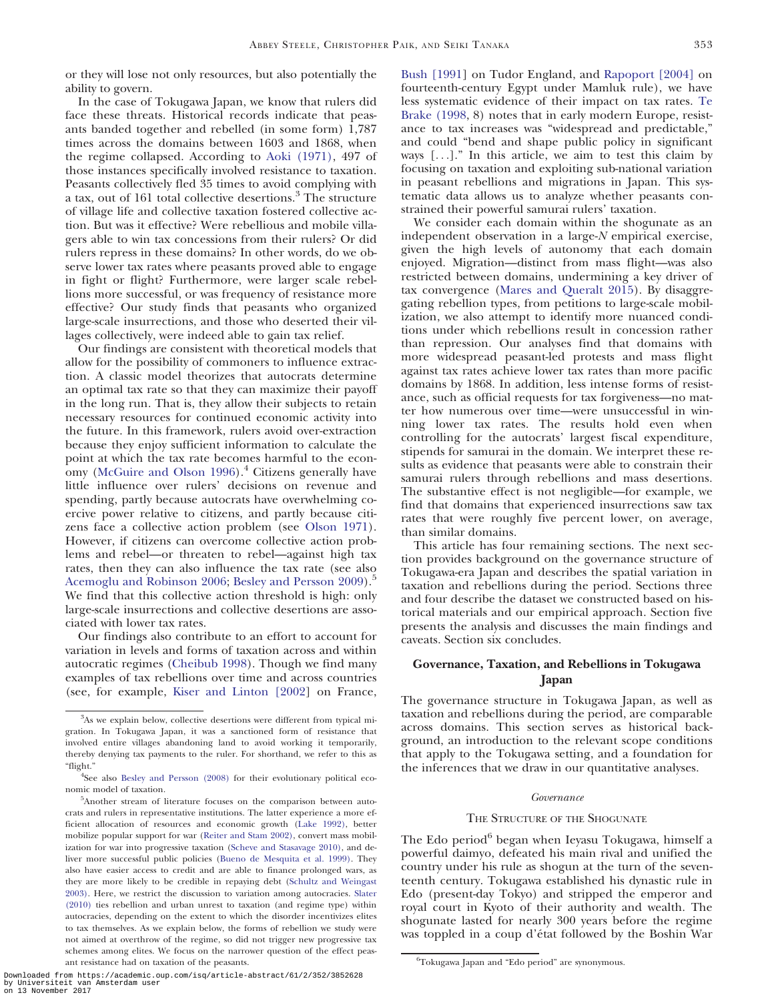or they will lose not only resources, but also potentially the ability to govern.

In the case of Tokugawa Japan, we know that rulers did face these threats. Historical records indicate that peasants banded together and rebelled (in some form) 1,787 times across the domains between 1603 and 1868, when the regime collapsed. According to [Aoki \(1971\)](#page-14-0), 497 of those instances specifically involved resistance to taxation. Peasants collectively fled 35 times to avoid complying with a tax, out of 161 total collective desertions.3 The structure of village life and collective taxation fostered collective action. But was it effective? Were rebellious and mobile villagers able to win tax concessions from their rulers? Or did rulers repress in these domains? In other words, do we observe lower tax rates where peasants proved able to engage in fight or flight? Furthermore, were larger scale rebellions more successful, or was frequency of resistance more effective? Our study finds that peasants who organized large-scale insurrections, and those who deserted their villages collectively, were indeed able to gain tax relief.

Our findings are consistent with theoretical models that allow for the possibility of commoners to influence extraction. A classic model theorizes that autocrats determine an optimal tax rate so that they can maximize their payoff in the long run. That is, they allow their subjects to retain necessary resources for continued economic activity into the future. In this framework, rulers avoid over-extraction because they enjoy sufficient information to calculate the point at which the tax rate becomes harmful to the economy (McGuire and Olson  $1996$ ).<sup>4</sup> Citizens generally have little influence over rulers' decisions on revenue and spending, partly because autocrats have overwhelming coercive power relative to citizens, and partly because citizens face a collective action problem (see [Olson 1971\)](#page-15-0). However, if citizens can overcome collective action problems and rebel—or threaten to rebel—against high tax rates, then they can also influence the tax rate (see also [Acemoglu and Robinson 2006](#page-14-0); [Besley and Persson 2009](#page-14-0)).<sup>5</sup> We find that this collective action threshold is high: only large-scale insurrections and collective desertions are associated with lower tax rates.

Our findings also contribute to an effort to account for variation in levels and forms of taxation across and within autocratic regimes ([Cheibub 1998\)](#page-14-0). Though we find many examples of tax rebellions over time and across countries (see, for example, [Kiser and Linton \[2002\]](#page-15-0) on France,

[Bush \[1991](#page-14-0)] on Tudor England, and [Rapoport \[2004\]](#page-15-0) on fourteenth-century Egypt under Mamluk rule), we have less systematic evidence of their impact on tax rates. [Te](#page-15-0) [Brake \(1998,](#page-15-0) 8) notes that in early modern Europe, resistance to tax increases was "widespread and predictable," and could "bend and shape public policy in significant ways  $[\,\ldots\,]$ ." In this article, we aim to test this claim by focusing on taxation and exploiting sub-national variation in peasant rebellions and migrations in Japan. This systematic data allows us to analyze whether peasants constrained their powerful samurai rulers' taxation.

We consider each domain within the shogunate as an independent observation in a large-N empirical exercise, given the high levels of autonomy that each domain enjoyed. Migration—distinct from mass flight—was also restricted between domains, undermining a key driver of tax convergence ([Mares and Queralt 2015](#page-15-0)). By disaggregating rebellion types, from petitions to large-scale mobilization, we also attempt to identify more nuanced conditions under which rebellions result in concession rather than repression. Our analyses find that domains with more widespread peasant-led protests and mass flight against tax rates achieve lower tax rates than more pacific domains by 1868. In addition, less intense forms of resistance, such as official requests for tax forgiveness—no matter how numerous over time—were unsuccessful in winning lower tax rates. The results hold even when controlling for the autocrats' largest fiscal expenditure, stipends for samurai in the domain. We interpret these results as evidence that peasants were able to constrain their samurai rulers through rebellions and mass desertions. The substantive effect is not negligible—for example, we find that domains that experienced insurrections saw tax rates that were roughly five percent lower, on average, than similar domains.

This article has four remaining sections. The next section provides background on the governance structure of Tokugawa-era Japan and describes the spatial variation in taxation and rebellions during the period. Sections three and four describe the dataset we constructed based on historical materials and our empirical approach. Section five presents the analysis and discusses the main findings and caveats. Section six concludes.

# Governance, Taxation, and Rebellions in Tokugawa Japan

The governance structure in Tokugawa Japan, as well as taxation and rebellions during the period, are comparable across domains. This section serves as historical background, an introduction to the relevant scope conditions that apply to the Tokugawa setting, and a foundation for the inferences that we draw in our quantitative analyses.

#### Governance

### THE STRUCTURE OF THE SHOGUNATE

The Edo period $6$  began when Ieyasu Tokugawa, himself a powerful daimyo, defeated his main rival and unified the country under his rule as shogun at the turn of the seventeenth century. Tokugawa established his dynastic rule in Edo (present-day Tokyo) and stripped the emperor and royal court in Kyoto of their authority and wealth. The shogunate lasted for nearly 300 years before the regime was toppled in a coup d'état followed by the Boshin War

<sup>3</sup> As we explain below, collective desertions were different from typical migration. In Tokugawa Japan, it was a sanctioned form of resistance that involved entire villages abandoning land to avoid working it temporarily, thereby denying tax payments to the ruler. For shorthand, we refer to this as "flight."

<sup>4</sup> See also [Besley and Persson \(2008\)](#page-14-0) for their evolutionary political economic model of taxation.

<sup>5</sup> Another stream of literature focuses on the comparison between autocrats and rulers in representative institutions. The latter experience a more efficient allocation of resources and economic growth ([Lake 1992\),](#page-15-0) better mobilize popular support for war [\(Reiter and Stam 2002\)](#page-15-0), convert mass mobilization for war into progressive taxation ([Scheve and Stasavage 2010\),](#page-15-0) and deliver more successful public policies ([Bueno de Mesquita et al. 1999\)](#page-14-0). They also have easier access to credit and are able to finance prolonged wars, as they are more likely to be credible in repaying debt [\(Schultz and Weingast](#page-15-0) [2003\).](#page-15-0) Here, we restrict the discussion to variation among autocracies. [Slater](#page-15-0) [\(2010\)](#page-15-0) ties rebellion and urban unrest to taxation (and regime type) within autocracies, depending on the extent to which the disorder incentivizes elites to tax themselves. As we explain below, the forms of rebellion we study were not aimed at overthrow of the regime, so did not trigger new progressive tax schemes among elites. We focus on the narrower question of the effect peasant resistance had on taxation of the peasants. <sup>6</sup>

Downloaded from https://academic.oup.com/isq/article-abstract/61/2/352/3852628 by Universiteit van Amsterdam user on 13 November 2017

Tokugawa Japan and "Edo period" are synonymous.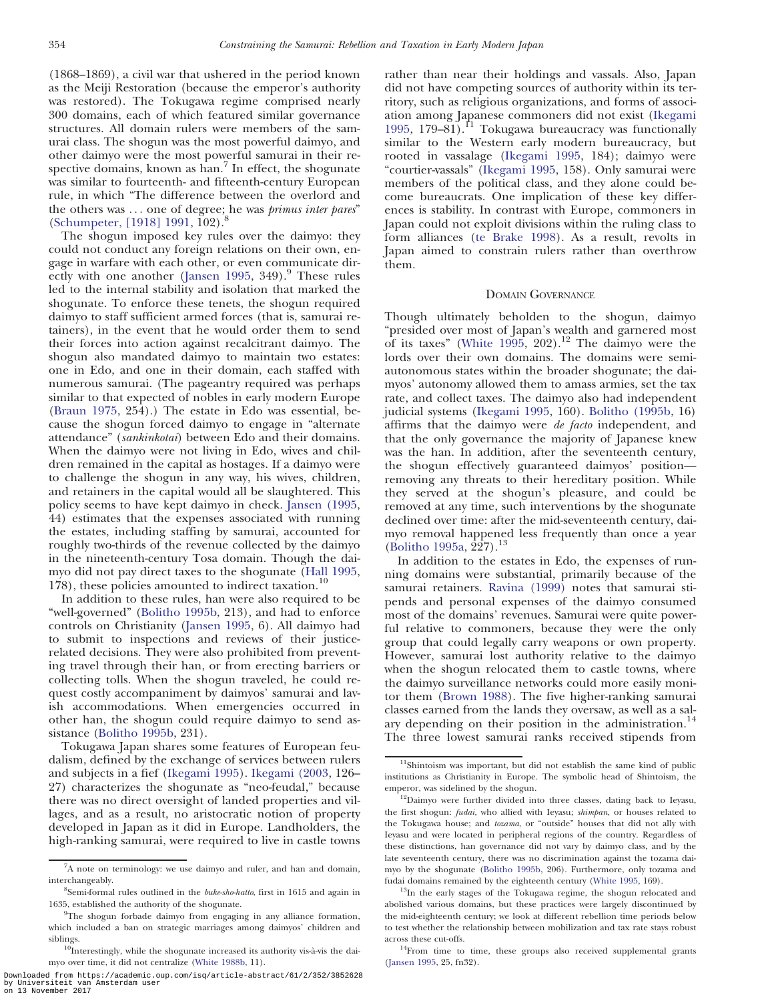(1868–1869), a civil war that ushered in the period known as the Meiji Restoration (because the emperor's authority was restored). The Tokugawa regime comprised nearly 300 domains, each of which featured similar governance structures. All domain rulers were members of the samurai class. The shogun was the most powerful daimyo, and other daimyo were the most powerful samurai in their respective domains, known as han.<sup>7</sup> In effect, the shogunate was similar to fourteenth- and fifteenth-century European rule, in which "The difference between the overlord and the others was ... one of degree; he was primus inter pares" [\(Schumpeter, \[1918\] 1991,](#page-15-0) 102).<sup>8</sup>

The shogun imposed key rules over the daimyo: they could not conduct any foreign relations on their own, engage in warfare with each other, or even communicate dir-ectly with one another [\(Jansen 1995,](#page-15-0) 349). These rules led to the internal stability and isolation that marked the shogunate. To enforce these tenets, the shogun required daimyo to staff sufficient armed forces (that is, samurai retainers), in the event that he would order them to send their forces into action against recalcitrant daimyo. The shogun also mandated daimyo to maintain two estates: one in Edo, and one in their domain, each staffed with numerous samurai. (The pageantry required was perhaps similar to that expected of nobles in early modern Europe [\(Braun 1975,](#page-14-0) 254).) The estate in Edo was essential, because the shogun forced daimyo to engage in "alternate attendance" (sankinkotai) between Edo and their domains. When the daimyo were not living in Edo, wives and children remained in the capital as hostages. If a daimyo were to challenge the shogun in any way, his wives, children, and retainers in the capital would all be slaughtered. This policy seems to have kept daimyo in check. [Jansen \(1995](#page-15-0), 44) estimates that the expenses associated with running the estates, including staffing by samurai, accounted for roughly two-thirds of the revenue collected by the daimyo in the nineteenth-century Tosa domain. Though the daimyo did not pay direct taxes to the shogunate ([Hall 1995](#page-15-0), 178), these policies amounted to indirect taxation.<sup>10</sup>

In addition to these rules, han were also required to be "well-governed" [\(Bolitho 1995b,](#page-14-0) 213), and had to enforce controls on Christianity [\(Jansen 1995](#page-15-0), 6). All daimyo had to submit to inspections and reviews of their justicerelated decisions. They were also prohibited from preventing travel through their han, or from erecting barriers or collecting tolls. When the shogun traveled, he could request costly accompaniment by daimyos' samurai and lavish accommodations. When emergencies occurred in other han, the shogun could require daimyo to send assistance ([Bolitho 1995b,](#page-14-0) 231).

Tokugawa Japan shares some features of European feudalism, defined by the exchange of services between rulers and subjects in a fief ([Ikegami 1995](#page-15-0)). [Ikegami \(2003,](#page-15-0) 126– 27) characterizes the shogunate as "neo-feudal," because there was no direct oversight of landed properties and villages, and as a result, no aristocratic notion of property developed in Japan as it did in Europe. Landholders, the high-ranking samurai, were required to live in castle towns

rather than near their holdings and vassals. Also, Japan did not have competing sources of authority within its territory, such as religious organizations, and forms of association among Japanese commoners did not exist ([Ikegami](#page-15-0) [1995](#page-15-0), 179–81).<sup> $\dot{\Pi}$ </sup> Tokugawa bureaucracy was functionally similar to the Western early modern bureaucracy, but rooted in vassalage ([Ikegami 1995,](#page-15-0) 184); daimyo were "courtier-vassals" [\(Ikegami 1995](#page-15-0), 158). Only samurai were members of the political class, and they alone could become bureaucrats. One implication of these key differences is stability. In contrast with Europe, commoners in Japan could not exploit divisions within the ruling class to form alliances ([te Brake 1998](#page-15-0)). As a result, revolts in Japan aimed to constrain rulers rather than overthrow them.

#### DOMAIN GOVERNANCE

Though ultimately beholden to the shogun, daimyo "presided over most of Japan's wealth and garnered most of its taxes" ([White 1995,](#page-15-0) 202).<sup>12</sup> The daimyo were the lords over their own domains. The domains were semiautonomous states within the broader shogunate; the daimyos' autonomy allowed them to amass armies, set the tax rate, and collect taxes. The daimyo also had independent judicial systems ([Ikegami 1995,](#page-15-0) 160). [Bolitho \(1995b](#page-14-0), 16) affirms that the daimyo were de facto independent, and that the only governance the majority of Japanese knew was the han. In addition, after the seventeenth century, the shogun effectively guaranteed daimyos' position removing any threats to their hereditary position. While they served at the shogun's pleasure, and could be removed at any time, such interventions by the shogunate declined over time: after the mid-seventeenth century, daimyo removal happened less frequently than once a year ([Bolitho 1995a,](#page-14-0) 227).<sup>13</sup>

In addition to the estates in Edo, the expenses of running domains were substantial, primarily because of the samurai retainers. [Ravina \(1999\)](#page-15-0) notes that samurai stipends and personal expenses of the daimyo consumed most of the domains' revenues. Samurai were quite powerful relative to commoners, because they were the only group that could legally carry weapons or own property. However, samurai lost authority relative to the daimyo when the shogun relocated them to castle towns, where the daimyo surveillance networks could more easily monitor them [\(Brown 1988\)](#page-14-0). The five higher-ranking samurai classes earned from the lands they oversaw, as well as a salary depending on their position in the administration.<sup>14</sup> The three lowest samurai ranks received stipends from

<sup>&</sup>lt;sup>7</sup>A note on terminology: we use daimyo and ruler, and han and domain, interchangeably.

<sup>&</sup>lt;sup>8</sup>Semi-formal rules outlined in the *buke-sho-hatto*, first in 1615 and again in 1635, established the authority of the shogunate.

<sup>&</sup>lt;sup>9</sup>The shogun forbade daimyo from engaging in any alliance formation, which included a ban on strategic marriages among daimyos' children and siblings.

<sup>&</sup>lt;sup>10</sup>Interestingly, while the shogunate increased its authority vis-à-vis the daimyo over time, it did not centralize ([White 1988b,](#page-15-0) 11).

Downloaded from https://academic.oup.com/isq/article-abstract/61/2/352/3852628 by Universiteit van Amsterdam user on 13 November 2017

<sup>&</sup>lt;sup>11</sup>Shintoism was important, but did not establish the same kind of public institutions as Christianity in Europe. The symbolic head of Shintoism, the emperor, was sidelined by the shogun.

<sup>12</sup>Daimyo were further divided into three classes, dating back to Ieyasu, the first shogun: fudai, who allied with Ieyasu; shimpan, or houses related to the Tokugawa house; and tozama, or "outside" houses that did not ally with Ieyasu and were located in peripheral regions of the country. Regardless of these distinctions, han governance did not vary by daimyo class, and by the late seventeenth century, there was no discrimination against the tozama daimyo by the shogunate ([Bolitho 1995b](#page-14-0), 206). Furthermore, only tozama and fudai domains remained by the eighteenth century ([White 1995,](#page-15-0) 169).

<sup>&</sup>lt;sup>13</sup>In the early stages of the Tokugawa regime, the shogun relocated and abolished various domains, but these practices were largely discontinued by the mid-eighteenth century; we look at different rebellion time periods below to test whether the relationship between mobilization and tax rate stays robust across these cut-offs.

<sup>&</sup>lt;sup>14</sup>From time to time, these groups also received supplemental grants ([Jansen 1995,](#page-15-0) 25, fn32).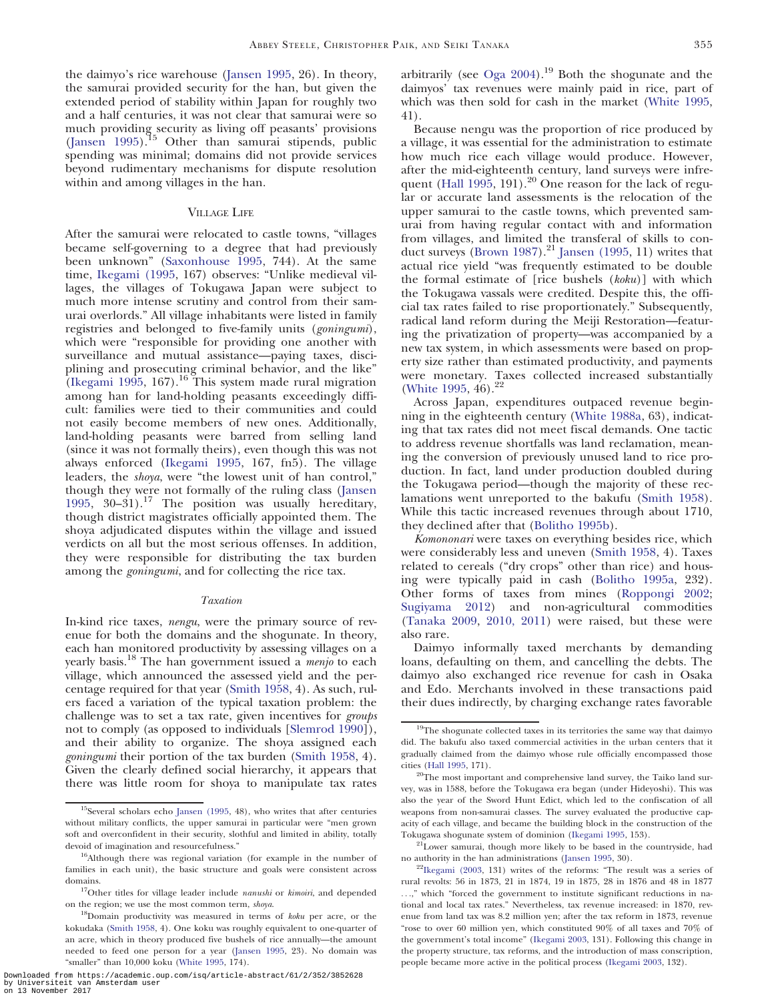the daimyo's rice warehouse [\(Jansen 1995,](#page-15-0) 26). In theory, the samurai provided security for the han, but given the extended period of stability within Japan for roughly two and a half centuries, it was not clear that samurai were so much providing security as living off peasants' provisions<br>[\(Jansen 1995\)](#page-15-0).<sup>15</sup> Other than samurai stipends, public spending was minimal; domains did not provide services beyond rudimentary mechanisms for dispute resolution within and among villages in the han.

## VILLAGE LIFE

After the samurai were relocated to castle towns, "villages became self-governing to a degree that had previously been unknown" [\(Saxonhouse 1995](#page-15-0), 744). At the same time, [Ikegami \(1995,](#page-15-0) 167) observes: "Unlike medieval villages, the villages of Tokugawa Japan were subject to much more intense scrutiny and control from their samurai overlords." All village inhabitants were listed in family registries and belonged to five-family units (goningumi), which were "responsible for providing one another with surveillance and mutual assistance—paying taxes, disci-plining and prosecuting criminal behavior, and the like"<br>[\(Ikegami 1995](#page-15-0), 167).<sup>16</sup> This system made rural migration among han for land-holding peasants exceedingly difficult: families were tied to their communities and could not easily become members of new ones. Additionally, land-holding peasants were barred from selling land (since it was not formally theirs), even though this was not always enforced [\(Ikegami 1995](#page-15-0), 167, fn5). The village leaders, the shoya, were "the lowest unit of han control," though they were not formally of the ruling class ([Jansen](#page-15-0) [1995,](#page-15-0) 30–31).<sup>17</sup> The position was usually hereditary, though district magistrates officially appointed them. The shoya adjudicated disputes within the village and issued verdicts on all but the most serious offenses. In addition, they were responsible for distributing the tax burden among the goningumi, and for collecting the rice tax.

#### Taxation

In-kind rice taxes, nengu, were the primary source of revenue for both the domains and the shogunate. In theory, each han monitored productivity by assessing villages on a yearly basis.<sup>18</sup> The han government issued a *menjo* to each village, which announced the assessed yield and the percentage required for that year ([Smith 1958,](#page-15-0) 4). As such, rulers faced a variation of the typical taxation problem: the challenge was to set a tax rate, given incentives for groups not to comply (as opposed to individuals [[Slemrod 1990\]](#page-15-0)), and their ability to organize. The shoya assigned each goningumi their portion of the tax burden ([Smith 1958,](#page-15-0) 4). Given the clearly defined social hierarchy, it appears that there was little room for shoya to manipulate tax rates

arbitrarily (see Oga  $2004$ ).<sup>19</sup> Both the shogunate and the daimyos' tax revenues were mainly paid in rice, part of which was then sold for cash in the market ([White 1995,](#page-15-0) 41).

Because nengu was the proportion of rice produced by a village, it was essential for the administration to estimate how much rice each village would produce. However, after the mid-eighteenth century, land surveys were infre-quent ([Hall 1995](#page-15-0), 191).<sup>20</sup> One reason for the lack of regular or accurate land assessments is the relocation of the upper samurai to the castle towns, which prevented samurai from having regular contact with and information from villages, and limited the transferal of skills to con-duct surveys ([Brown 1987](#page-14-0)).<sup>21</sup> [Jansen \(1995,](#page-15-0) 11) writes that actual rice yield "was frequently estimated to be double the formal estimate of [rice bushels (koku)] with which the Tokugawa vassals were credited. Despite this, the official tax rates failed to rise proportionately." Subsequently, radical land reform during the Meiji Restoration—featuring the privatization of property—was accompanied by a new tax system, in which assessments were based on property size rather than estimated productivity, and payments were monetary. Taxes collected increased substantially ([White 1995,](#page-15-0) 46).<sup>22</sup>

Across Japan, expenditures outpaced revenue beginning in the eighteenth century [\(White 1988a](#page-15-0), 63), indicating that tax rates did not meet fiscal demands. One tactic to address revenue shortfalls was land reclamation, meaning the conversion of previously unused land to rice production. In fact, land under production doubled during the Tokugawa period—though the majority of these reclamations went unreported to the bakufu ([Smith 1958](#page-15-0)). While this tactic increased revenues through about 1710, they declined after that ([Bolitho 1995b](#page-14-0)).

Komononari were taxes on everything besides rice, which were considerably less and uneven [\(Smith 1958,](#page-15-0) 4). Taxes related to cereals ("dry crops" other than rice) and housing were typically paid in cash ([Bolitho 1995a,](#page-14-0) 232). Other forms of taxes from mines ([Roppongi 2002;](#page-15-0) [Sugiyama 2012\)](#page-15-0) and non-agricultural commodities ([Tanaka 2009,](#page-15-0) [2010, 2011](#page-15-0)) were raised, but these were also rare.

Daimyo informally taxed merchants by demanding loans, defaulting on them, and cancelling the debts. The daimyo also exchanged rice revenue for cash in Osaka and Edo. Merchants involved in these transactions paid their dues indirectly, by charging exchange rates favorable

 $15$ Several scholars echo [Jansen \(1995,](#page-15-0) 48), who writes that after centuries without military conflicts, the upper samurai in particular were "men grown soft and overconfident in their security, slothful and limited in ability, totally devoid of imagination and resourcefulness."

<sup>16</sup>Although there was regional variation (for example in the number of families in each unit), the basic structure and goals were consistent across domains.

 $17$ Other titles for village leader include *nanushi* or *kimoiri*, and depended on the region; we use the most common term, shoya.

<sup>&</sup>lt;sup>18</sup>Domain productivity was measured in terms of koku per acre, or the kokudaka [\(Smith 1958](#page-15-0), 4). One koku was roughly equivalent to one-quarter of an acre, which in theory produced five bushels of rice annually—the amount needed to feed one person for a year ([Jansen 1995](#page-15-0), 23). No domain was "smaller" than 10,000 koku [\(White 1995](#page-15-0), 174).

Downloaded from https://academic.oup.com/isq/article-abstract/61/2/352/3852628 by Universiteit van Amsterdam user on 13 November 2017

 $19$ The shogunate collected taxes in its territories the same way that daimyo did. The bakufu also taxed commercial activities in the urban centers that it gradually claimed from the daimyo whose rule officially encompassed those cities [\(Hall 1995](#page-15-0), 171).

<sup>&</sup>lt;sup>20</sup>The most important and comprehensive land survey, the Taiko land survey, was in 1588, before the Tokugawa era began (under Hideyoshi). This was also the year of the Sword Hunt Edict, which led to the confiscation of all weapons from non-samurai classes. The survey evaluated the productive capacity of each village, and became the building block in the construction of the Tokugawa shogunate system of dominion ([Ikegami 1995](#page-15-0), 153).

<sup>&</sup>lt;sup>21</sup>Lower samurai, though more likely to be based in the countryside, had no authority in the han administrations [\(Jansen 1995](#page-15-0), 30).

 $2^{22}$ [Ikegami \(2003,](#page-15-0) 131) writes of the reforms: "The result was a series of rural revolts: 56 in 1873, 21 in 1874, 19 in 1875, 28 in 1876 and 48 in 1877 ...," which "forced the government to institute significant reductions in national and local tax rates." Nevertheless, tax revenue increased: in 1870, revenue from land tax was 8.2 million yen; after the tax reform in 1873, revenue "rose to over 60 million yen, which constituted 90% of all taxes and 70% of the government's total income" ([Ikegami 2003,](#page-15-0) 131). Following this change in the property structure, tax reforms, and the introduction of mass conscription, people became more active in the political process ([Ikegami 2003](#page-15-0), 132).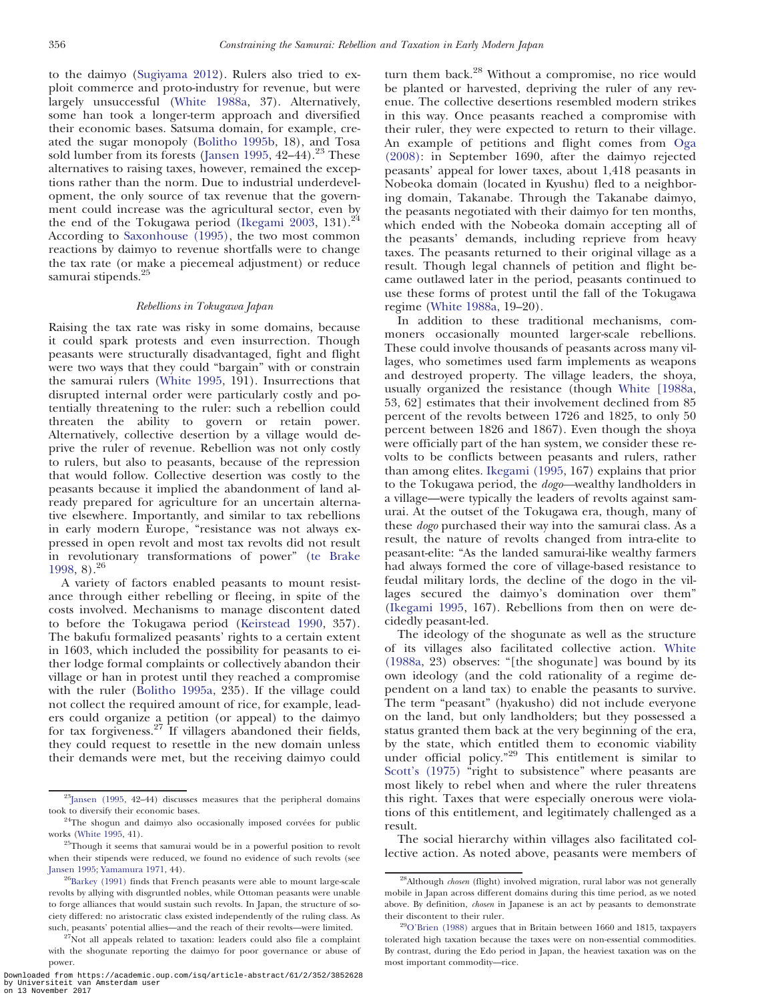to the daimyo [\(Sugiyama 2012\)](#page-15-0). Rulers also tried to exploit commerce and proto-industry for revenue, but were largely unsuccessful ([White 1988a](#page-15-0), 37). Alternatively, some han took a longer-term approach and diversified their economic bases. Satsuma domain, for example, created the sugar monopoly ([Bolitho 1995b,](#page-14-0) 18), and Tosa sold lumber from its forests ([Jansen 1995,](#page-15-0) 42–44). $^{23}$  These alternatives to raising taxes, however, remained the exceptions rather than the norm. Due to industrial underdevelopment, the only source of tax revenue that the government could increase was the agricultural sector, even by the end of the Tokugawa period ([Ikegami 2003](#page-15-0), 131).<sup>24</sup> According to [Saxonhouse \(1995\)](#page-15-0), the two most common reactions by daimyo to revenue shortfalls were to change the tax rate (or make a piecemeal adjustment) or reduce samurai stipends.<sup>25</sup>

# Rebellions in Tokugawa Japan

Raising the tax rate was risky in some domains, because it could spark protests and even insurrection. Though peasants were structurally disadvantaged, fight and flight were two ways that they could "bargain" with or constrain the samurai rulers ([White 1995,](#page-15-0) 191). Insurrections that disrupted internal order were particularly costly and potentially threatening to the ruler: such a rebellion could threaten the ability to govern or retain power. Alternatively, collective desertion by a village would deprive the ruler of revenue. Rebellion was not only costly to rulers, but also to peasants, because of the repression that would follow. Collective desertion was costly to the peasants because it implied the abandonment of land already prepared for agriculture for an uncertain alternative elsewhere. Importantly, and similar to tax rebellions in early modern Europe, "resistance was not always expressed in open revolt and most tax revolts did not result in revolutionary transformations of power" ([te Brake](#page-15-0) [1998,](#page-15-0) 8).<sup>26</sup>

A variety of factors enabled peasants to mount resistance through either rebelling or fleeing, in spite of the costs involved. Mechanisms to manage discontent dated to before the Tokugawa period [\(Keirstead 1990](#page-15-0), 357). The bakufu formalized peasants' rights to a certain extent in 1603, which included the possibility for peasants to either lodge formal complaints or collectively abandon their village or han in protest until they reached a compromise with the ruler ([Bolitho 1995a](#page-14-0), 235). If the village could not collect the required amount of rice, for example, leaders could organize a petition (or appeal) to the daimyo<br>for tax forgiveness.<sup>27</sup> If villagers abandoned their fields, they could request to resettle in the new domain unless their demands were met, but the receiving daimyo could

turn them back.<sup>28</sup> Without a compromise, no rice would be planted or harvested, depriving the ruler of any revenue. The collective desertions resembled modern strikes in this way. Once peasants reached a compromise with their ruler, they were expected to return to their village. An example of petitions and flight comes from [Oga](#page-15-0) [\(2008\):](#page-15-0) in September 1690, after the daimyo rejected peasants' appeal for lower taxes, about 1,418 peasants in Nobeoka domain (located in Kyushu) fled to a neighboring domain, Takanabe. Through the Takanabe daimyo, the peasants negotiated with their daimyo for ten months, which ended with the Nobeoka domain accepting all of the peasants' demands, including reprieve from heavy taxes. The peasants returned to their original village as a result. Though legal channels of petition and flight became outlawed later in the period, peasants continued to use these forms of protest until the fall of the Tokugawa regime ([White 1988a](#page-15-0), 19–20).

In addition to these traditional mechanisms, commoners occasionally mounted larger-scale rebellions. These could involve thousands of peasants across many villages, who sometimes used farm implements as weapons and destroyed property. The village leaders, the shoya, usually organized the resistance (though [White \[1988a,](#page-15-0) 53, 62] estimates that their involvement declined from 85 percent of the revolts between 1726 and 1825, to only 50 percent between 1826 and 1867). Even though the shoya were officially part of the han system, we consider these revolts to be conflicts between peasants and rulers, rather than among elites. [Ikegami \(1995](#page-15-0), 167) explains that prior to the Tokugawa period, the dogo—wealthy landholders in a village—were typically the leaders of revolts against samurai. At the outset of the Tokugawa era, though, many of these dogo purchased their way into the samurai class. As a result, the nature of revolts changed from intra-elite to peasant-elite: "As the landed samurai-like wealthy farmers had always formed the core of village-based resistance to feudal military lords, the decline of the dogo in the villages secured the daimyo's domination over them" ([Ikegami 1995,](#page-15-0) 167). Rebellions from then on were decidedly peasant-led.

The ideology of the shogunate as well as the structure of its villages also facilitated collective action. [White](#page-15-0) [\(1988a](#page-15-0), 23) observes: "[the shogunate] was bound by its own ideology (and the cold rationality of a regime dependent on a land tax) to enable the peasants to survive. The term "peasant" (hyakusho) did not include everyone on the land, but only landholders; but they possessed a status granted them back at the very beginning of the era, by the state, which entitled them to economic viability under official policy."<sup>29</sup> This entitlement is similar to [Scott's \(1975\)](#page-15-0) "right to subsistence" where peasants are most likely to rebel when and where the ruler threatens this right. Taxes that were especially onerous were violations of this entitlement, and legitimately challenged as a result.

The social hierarchy within villages also facilitated collective action. As noted above, peasants were members of

<sup>2</sup>[3Jansen \(1995](#page-15-0), 42–44) discusses measures that the peripheral domains took to diversify their economic bases.

 $24$ The shogun and daimyo also occasionally imposed corvées for public works ([White 1995,](#page-15-0) 41).

<sup>&</sup>lt;sup>25</sup>Though it seems that samurai would be in a powerful position to revolt when their stipends were reduced, we found no evidence of such revolts (see [Jansen 1995](#page-15-0); [Yamamura 1971,](#page-15-0) 44).

 $^{26}$ Barkey (1991) finds that French peasants were able to mount large-scale revolts by allying with disgruntled nobles, while Ottoman peasants were unable to forge alliances that would sustain such revolts. In Japan, the structure of society differed: no aristocratic class existed independently of the ruling class. As such, peasants' potential allies—and the reach of their revolts—were limited.

<sup>27</sup>Not all appeals related to taxation: leaders could also file a complaint with the shogunate reporting the daimyo for poor governance or abuse of power.

Downloaded from https://academic.oup.com/isq/article-abstract/61/2/352/3852628 by Universiteit van Amsterdam user on 13 November 2017

 $^{28}$ Although *chosen* (flight) involved migration, rural labor was not generally mobile in Japan across different domains during this time period, as we noted above. By definition, chosen in Japanese is an act by peasants to demonstrate their discontent to their ruler.

 $29^{\circ}$ O'Brien (1988) argues that in Britain between 1660 and 1815, taxpayers tolerated high taxation because the taxes were on non-essential commodities. By contrast, during the Edo period in Japan, the heaviest taxation was on the most important commodity—rice.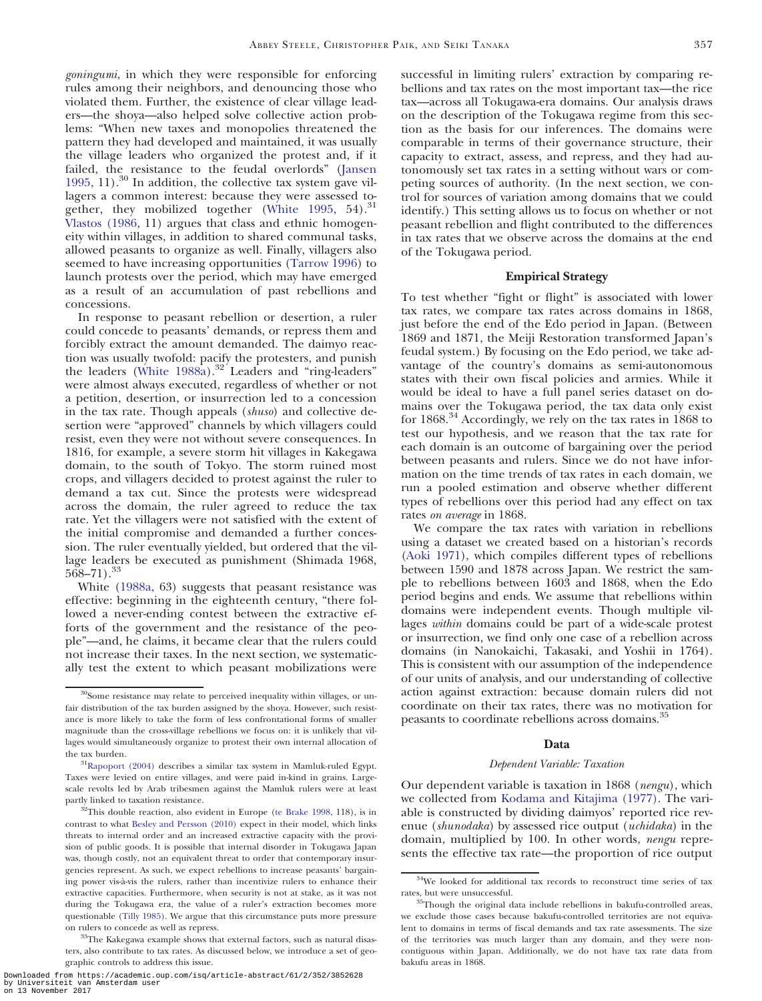goningumi, in which they were responsible for enforcing rules among their neighbors, and denouncing those who violated them. Further, the existence of clear village leaders—the shoya—also helped solve collective action problems: "When new taxes and monopolies threatened the pattern they had developed and maintained, it was usually the village leaders who organized the protest and, if it failed, the resistance to the feudal overlords" ([Jansen](#page-15-0) [1995,](#page-15-0)  $11$ ).<sup>30</sup> In addition, the collective tax system gave villagers a common interest: because they were assessed to-gether, they mobilized together ([White 1995,](#page-15-0) 54).<sup>31</sup> [Vlastos \(1986](#page-15-0), 11) argues that class and ethnic homogeneity within villages, in addition to shared communal tasks, allowed peasants to organize as well. Finally, villagers also seemed to have increasing opportunities ([Tarrow 1996](#page-15-0)) to launch protests over the period, which may have emerged as a result of an accumulation of past rebellions and concessions.

In response to peasant rebellion or desertion, a ruler could concede to peasants' demands, or repress them and forcibly extract the amount demanded. The daimyo reaction was usually twofold: pacify the protesters, and punish the leaders ([White 1988a](#page-15-0)).<sup>32</sup> Leaders and "ring-leaders" were almost always executed, regardless of whether or not a petition, desertion, or insurrection led to a concession in the tax rate. Though appeals (shuso) and collective desertion were "approved" channels by which villagers could resist, even they were not without severe consequences. In 1816, for example, a severe storm hit villages in Kakegawa domain, to the south of Tokyo. The storm ruined most crops, and villagers decided to protest against the ruler to demand a tax cut. Since the protests were widespread across the domain, the ruler agreed to reduce the tax rate. Yet the villagers were not satisfied with the extent of the initial compromise and demanded a further concession. The ruler eventually yielded, but ordered that the village leaders be executed as punishment (Shimada 1968, 568–71).<sup>33</sup>

White ([1988a](#page-15-0), 63) suggests that peasant resistance was effective: beginning in the eighteenth century, "there followed a never-ending contest between the extractive efforts of the government and the resistance of the people"—and, he claims, it became clear that the rulers could not increase their taxes. In the next section, we systematically test the extent to which peasant mobilizations were

33The Kakegawa example shows that external factors, such as natural disasters, also contribute to tax rates. As discussed below, we introduce a set of geographic controls to address this issue.

Downloaded from https://academic.oup.com/isq/article-abstract/61/2/352/3852628 by Universiteit van Amsterdam user on 13 November 2017

successful in limiting rulers' extraction by comparing rebellions and tax rates on the most important tax—the rice tax—across all Tokugawa-era domains. Our analysis draws on the description of the Tokugawa regime from this section as the basis for our inferences. The domains were comparable in terms of their governance structure, their capacity to extract, assess, and repress, and they had autonomously set tax rates in a setting without wars or competing sources of authority. (In the next section, we control for sources of variation among domains that we could identify.) This setting allows us to focus on whether or not peasant rebellion and flight contributed to the differences in tax rates that we observe across the domains at the end of the Tokugawa period.

## Empirical Strategy

To test whether "fight or flight" is associated with lower tax rates, we compare tax rates across domains in 1868, just before the end of the Edo period in Japan. (Between 1869 and 1871, the Meiji Restoration transformed Japan's feudal system.) By focusing on the Edo period, we take advantage of the country's domains as semi-autonomous states with their own fiscal policies and armies. While it would be ideal to have a full panel series dataset on domains over the Tokugawa period, the tax data only exist for 1868.<sup>34</sup> Accordingly, we rely on the tax rates in 1868 to test our hypothesis, and we reason that the tax rate for each domain is an outcome of bargaining over the period between peasants and rulers. Since we do not have information on the time trends of tax rates in each domain, we run a pooled estimation and observe whether different types of rebellions over this period had any effect on tax rates on average in 1868.

We compare the tax rates with variation in rebellions using a dataset we created based on a historian's records ([Aoki 1971](#page-14-0)), which compiles different types of rebellions between 1590 and 1878 across Japan. We restrict the sample to rebellions between 1603 and 1868, when the Edo period begins and ends. We assume that rebellions within domains were independent events. Though multiple villages within domains could be part of a wide-scale protest or insurrection, we find only one case of a rebellion across domains (in Nanokaichi, Takasaki, and Yoshii in 1764). This is consistent with our assumption of the independence of our units of analysis, and our understanding of collective action against extraction: because domain rulers did not coordinate on their tax rates, there was no motivation for peasants to coordinate rebellions across domains.<sup>35</sup>

# Data

### Dependent Variable: Taxation

Our dependent variable is taxation in 1868 (nengu), which we collected from [Kodama and Kitajima \(1977\)](#page-15-0). The variable is constructed by dividing daimyos' reported rice revenue (shunodaka) by assessed rice output (uchidaka) in the domain, multiplied by 100. In other words, nengu represents the effective tax rate—the proportion of rice output

<sup>30</sup>Some resistance may relate to perceived inequality within villages, or unfair distribution of the tax burden assigned by the shoya. However, such resistance is more likely to take the form of less confrontational forms of smaller magnitude than the cross-village rebellions we focus on: it is unlikely that villages would simultaneously organize to protest their own internal allocation of the tax burden.

 $^{31}$ Rapoport (2004) describes a similar tax system in Mamluk-ruled Egypt. Taxes were levied on entire villages, and were paid in-kind in grains. Largescale revolts led by Arab tribesmen against the Mamluk rulers were at least partly linked to taxation resistance.

 $32$ This double reaction, also evident in Europe ([te Brake 1998](#page-15-0), 118), is in contrast to what [Besley and Persson \(2010\)](#page-14-0) expect in their model, which links threats to internal order and an increased extractive capacity with the provision of public goods. It is possible that internal disorder in Tokugawa Japan was, though costly, not an equivalent threat to order that contemporary insurgencies represent. As such, we expect rebellions to increase peasants' bargaining power vis-à-vis the rulers, rather than incentivize rulers to enhance their extractive capacities. Furthermore, when security is not at stake, as it was not during the Tokugawa era, the value of a ruler's extraction becomes more questionable ([Tilly 1985\).](#page-15-0) We argue that this circumstance puts more pressure on rulers to concede as well as repress.

<sup>34</sup>We looked for additional tax records to reconstruct time series of tax rates, but were unsuccessful.

<sup>35</sup>Though the original data include rebellions in bakufu-controlled areas, we exclude those cases because bakufu-controlled territories are not equivalent to domains in terms of fiscal demands and tax rate assessments. The size of the territories was much larger than any domain, and they were noncontiguous within Japan. Additionally, we do not have tax rate data from bakufu areas in 1868.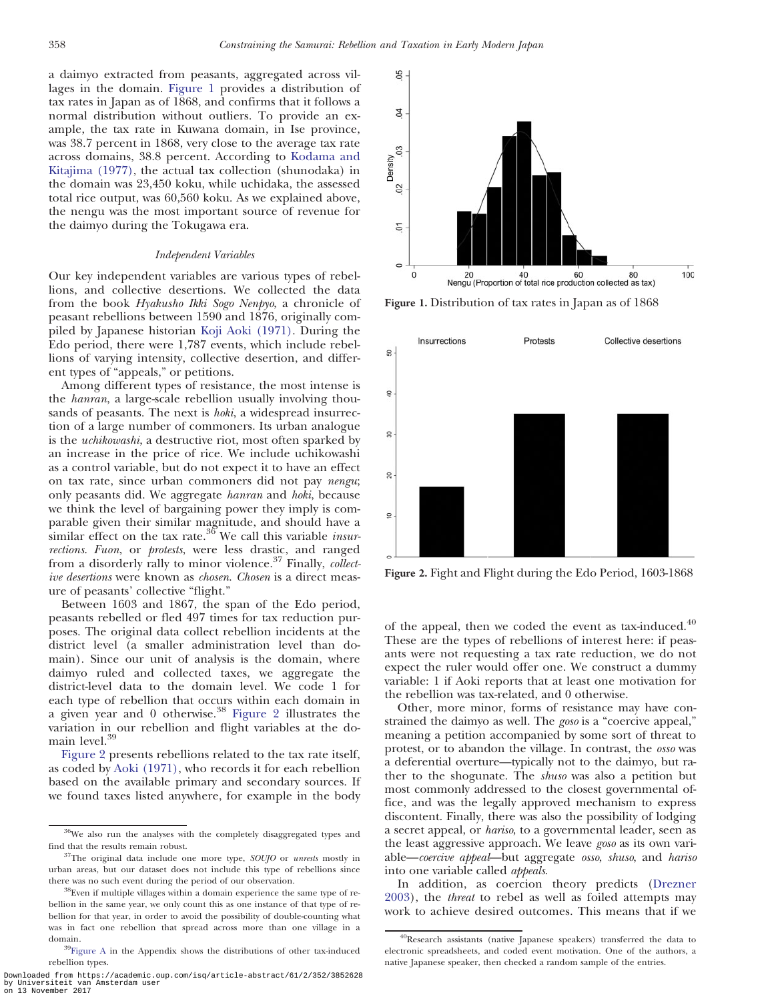a daimyo extracted from peasants, aggregated across villages in the domain. Figure 1 provides a distribution of tax rates in Japan as of 1868, and confirms that it follows a normal distribution without outliers. To provide an example, the tax rate in Kuwana domain, in Ise province, was 38.7 percent in 1868, very close to the average tax rate across domains, 38.8 percent. According to [Kodama and](#page-15-0) [Kitajima \(1977\)](#page-15-0), the actual tax collection (shunodaka) in the domain was 23,450 koku, while uchidaka, the assessed total rice output, was 60,560 koku. As we explained above, the nengu was the most important source of revenue for the daimyo during the Tokugawa era.

#### Independent Variables

Our key independent variables are various types of rebellions, and collective desertions. We collected the data from the book Hyakusho Ikki Sogo Nenpyo, a chronicle of peasant rebellions between 1590 and 1876, originally compiled by Japanese historian [Koji Aoki \(1971\)](#page-14-0). During the Edo period, there were 1,787 events, which include rebellions of varying intensity, collective desertion, and different types of "appeals," or petitions.

Among different types of resistance, the most intense is the hanran, a large-scale rebellion usually involving thousands of peasants. The next is *hoki*, a widespread insurrection of a large number of commoners. Its urban analogue is the uchikowashi, a destructive riot, most often sparked by an increase in the price of rice. We include uchikowashi as a control variable, but do not expect it to have an effect on tax rate, since urban commoners did not pay nengu; only peasants did. We aggregate hanran and hoki, because we think the level of bargaining power they imply is comparable given their similar magnitude, and should have a similar effect on the tax rate.<sup>36</sup> We call this variable *insur*rections. Fuon, or protests, were less drastic, and ranged from a disorderly rally to minor violence.<sup>37</sup> Finally, *collect*ive desertions were known as chosen. Chosen is a direct measure of peasants' collective "flight."

Between 1603 and 1867, the span of the Edo period, peasants rebelled or fled 497 times for tax reduction purposes. The original data collect rebellion incidents at the district level (a smaller administration level than domain). Since our unit of analysis is the domain, where daimyo ruled and collected taxes, we aggregate the district-level data to the domain level. We code 1 for each type of rebellion that occurs within each domain in a given year and 0 otherwise. $38$  Figure 2 illustrates the variation in our rebellion and flight variables at the domain level.<sup>39</sup>

Figure 2 presents rebellions related to the tax rate itself, as coded by [Aoki \(1971\)](#page-14-0), who records it for each rebellion based on the available primary and secondary sources. If we found taxes listed anywhere, for example in the body



Figure 1. Distribution of tax rates in Japan as of 1868



Figure 2. Fight and Flight during the Edo Period, 1603-1868

of the appeal, then we coded the event as tax-induced.<sup>40</sup> These are the types of rebellions of interest here: if peasants were not requesting a tax rate reduction, we do not expect the ruler would offer one. We construct a dummy variable: 1 if Aoki reports that at least one motivation for the rebellion was tax-related, and 0 otherwise.

Other, more minor, forms of resistance may have constrained the daimyo as well. The goso is a "coercive appeal," meaning a petition accompanied by some sort of threat to protest, or to abandon the village. In contrast, the osso was a deferential overture—typically not to the daimyo, but rather to the shogunate. The shuso was also a petition but most commonly addressed to the closest governmental office, and was the legally approved mechanism to express discontent. Finally, there was also the possibility of lodging a secret appeal, or hariso, to a governmental leader, seen as the least aggressive approach. We leave goso as its own variable—coercive appeal—but aggregate osso, shuso, and hariso into one variable called appeals.

In addition, as coercion theory predicts [\(Drezner](#page-14-0) [2003](#page-14-0)), the threat to rebel as well as foiled attempts may work to achieve desired outcomes. This means that if we

<sup>&</sup>lt;sup>36</sup>We also run the analyses with the completely disaggregated types and find that the results remain robust.

 $37$ The original data include one more type,  $SOUJO$  or unrests mostly in urban areas, but our dataset does not include this type of rebellions since there was no such event during the period of our observation.

<sup>38</sup>Even if multiple villages within a domain experience the same type of rebellion in the same year, we only count this as one instance of that type of rebellion for that year, in order to avoid the possibility of double-counting what was in fact one rebellion that spread across more than one village in a domain.

<sup>&</sup>lt;sup>39</sup>Figure A in the Appendix shows the distributions of other tax-induced rebellion types.

Downloaded from https://academic.oup.com/isq/article-abstract/61/2/352/3852628 by Universiteit van Amsterdam user on 13 November 2017

<sup>40</sup>Research assistants (native Japanese speakers) transferred the data to electronic spreadsheets, and coded event motivation. One of the authors, a native Japanese speaker, then checked a random sample of the entries.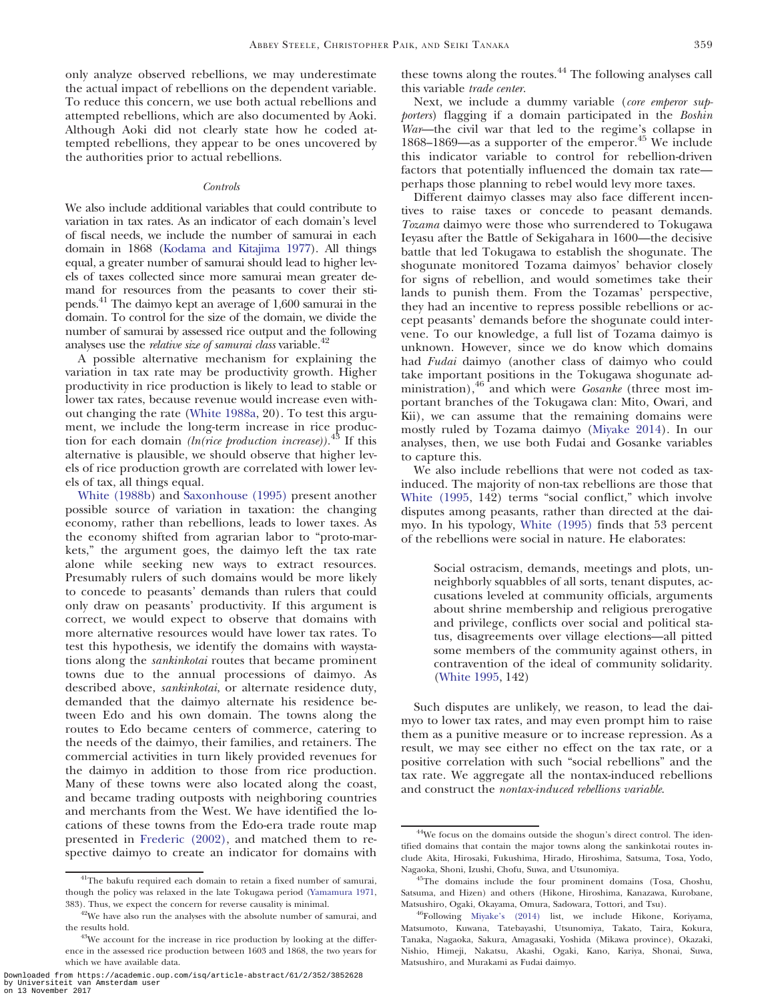only analyze observed rebellions, we may underestimate the actual impact of rebellions on the dependent variable. To reduce this concern, we use both actual rebellions and attempted rebellions, which are also documented by Aoki. Although Aoki did not clearly state how he coded attempted rebellions, they appear to be ones uncovered by the authorities prior to actual rebellions.

#### Controls

We also include additional variables that could contribute to variation in tax rates. As an indicator of each domain's level of fiscal needs, we include the number of samurai in each domain in 1868 ([Kodama and Kitajima 1977\)](#page-15-0). All things equal, a greater number of samurai should lead to higher levels of taxes collected since more samurai mean greater demand for resources from the peasants to cover their stipends.41 The daimyo kept an average of 1,600 samurai in the domain. To control for the size of the domain, we divide the number of samurai by assessed rice output and the following analyses use the *relative size of samurai class* variable.<sup>42</sup>

A possible alternative mechanism for explaining the variation in tax rate may be productivity growth. Higher productivity in rice production is likely to lead to stable or lower tax rates, because revenue would increase even without changing the rate [\(White 1988a](#page-15-0), 20). To test this argument, we include the long-term increase in rice production for each domain *(ln(rice production increase)*).<sup>43</sup> If this alternative is plausible, we should observe that higher levels of rice production growth are correlated with lower levels of tax, all things equal.

[White \(1988b\)](#page-15-0) and [Saxonhouse \(1995\)](#page-15-0) present another possible source of variation in taxation: the changing economy, rather than rebellions, leads to lower taxes. As the economy shifted from agrarian labor to "proto-markets," the argument goes, the daimyo left the tax rate alone while seeking new ways to extract resources. Presumably rulers of such domains would be more likely to concede to peasants' demands than rulers that could only draw on peasants' productivity. If this argument is correct, we would expect to observe that domains with more alternative resources would have lower tax rates. To test this hypothesis, we identify the domains with waystations along the *sankinkotai* routes that became prominent towns due to the annual processions of daimyo. As described above, sankinkotai, or alternate residence duty, demanded that the daimyo alternate his residence between Edo and his own domain. The towns along the routes to Edo became centers of commerce, catering to the needs of the daimyo, their families, and retainers. The commercial activities in turn likely provided revenues for the daimyo in addition to those from rice production. Many of these towns were also located along the coast, and became trading outposts with neighboring countries and merchants from the West. We have identified the locations of these towns from the Edo-era trade route map presented in [Frederic \(2002\),](#page-14-0) and matched them to respective daimyo to create an indicator for domains with these towns along the routes.<sup>44</sup> The following analyses call this variable trade center.

Next, we include a dummy variable (core emperor supporters) flagging if a domain participated in the Boshin War—the civil war that led to the regime's collapse in 1868–1869—as a supporter of the emperor.<sup>45</sup> We include this indicator variable to control for rebellion-driven factors that potentially influenced the domain tax rate perhaps those planning to rebel would levy more taxes.

Different daimyo classes may also face different incentives to raise taxes or concede to peasant demands. Tozama daimyo were those who surrendered to Tokugawa Ieyasu after the Battle of Sekigahara in 1600—the decisive battle that led Tokugawa to establish the shogunate. The shogunate monitored Tozama daimyos' behavior closely for signs of rebellion, and would sometimes take their lands to punish them. From the Tozamas' perspective, they had an incentive to repress possible rebellions or accept peasants' demands before the shogunate could intervene. To our knowledge, a full list of Tozama daimyo is unknown. However, since we do know which domains had Fudai daimyo (another class of daimyo who could take important positions in the Tokugawa shogunate administration), $^{46}$  and which were *Gosanke* (three most important branches of the Tokugawa clan: Mito, Owari, and Kii), we can assume that the remaining domains were mostly ruled by Tozama daimyo [\(Miyake 2014\)](#page-15-0). In our analyses, then, we use both Fudai and Gosanke variables to capture this.

We also include rebellions that were not coded as taxinduced. The majority of non-tax rebellions are those that [White \(1995,](#page-15-0) 142) terms "social conflict," which involve disputes among peasants, rather than directed at the daimyo. In his typology, [White \(1995\)](#page-15-0) finds that 53 percent of the rebellions were social in nature. He elaborates:

Social ostracism, demands, meetings and plots, unneighborly squabbles of all sorts, tenant disputes, accusations leveled at community officials, arguments about shrine membership and religious prerogative and privilege, conflicts over social and political status, disagreements over village elections—all pitted some members of the community against others, in contravention of the ideal of community solidarity. [\(White 1995](#page-15-0), 142)

Such disputes are unlikely, we reason, to lead the daimyo to lower tax rates, and may even prompt him to raise them as a punitive measure or to increase repression. As a result, we may see either no effect on the tax rate, or a positive correlation with such "social rebellions" and the tax rate. We aggregate all the nontax-induced rebellions and construct the nontax-induced rebellions variable.

<sup>&</sup>lt;sup>41</sup>The bakufu required each domain to retain a fixed number of samurai, though the policy was relaxed in the late Tokugawa period ([Yamamura 1971,](#page-15-0) 383). Thus, we expect the concern for reverse causality is minimal.

 $42$ We have also run the analyses with the absolute number of samurai, and the results hold.

<sup>&</sup>lt;sup>43</sup>We account for the increase in rice production by looking at the difference in the assessed rice production between 1603 and 1868, the two years for which we have available data.

Downloaded from https://academic.oup.com/isq/article-abstract/61/2/352/3852628 by Universiteit van Amsterdam user on 13 November 2017

<sup>&</sup>lt;sup>44</sup>We focus on the domains outside the shogun's direct control. The identified domains that contain the major towns along the sankinkotai routes include Akita, Hirosaki, Fukushima, Hirado, Hiroshima, Satsuma, Tosa, Yodo, Nagaoka, Shoni, Izushi, Chofu, Suwa, and Utsunomiya.

<sup>&</sup>lt;sup>45</sup>The domains include the four prominent domains (Tosa, Choshu, Satsuma, and Hizen) and others (Hikone, Hiroshima, Kanazawa, Kurobane, Matsushiro, Ogaki, Okayama, Omura, Sadowara, Tottori, and Tsu).

<sup>&</sup>lt;sup>46</sup>Following [Miyake's \(2014\)](#page-15-0) list, we include Hikone, Koriyama, Matsumoto, Kuwana, Tatebayashi, Utsunomiya, Takato, Taira, Kokura, Tanaka, Nagaoka, Sakura, Amagasaki, Yoshida (Mikawa province), Okazaki, Nishio, Himeji, Nakatsu, Akashi, Ogaki, Kano, Kariya, Shonai, Suwa, Matsushiro, and Murakami as Fudai daimyo.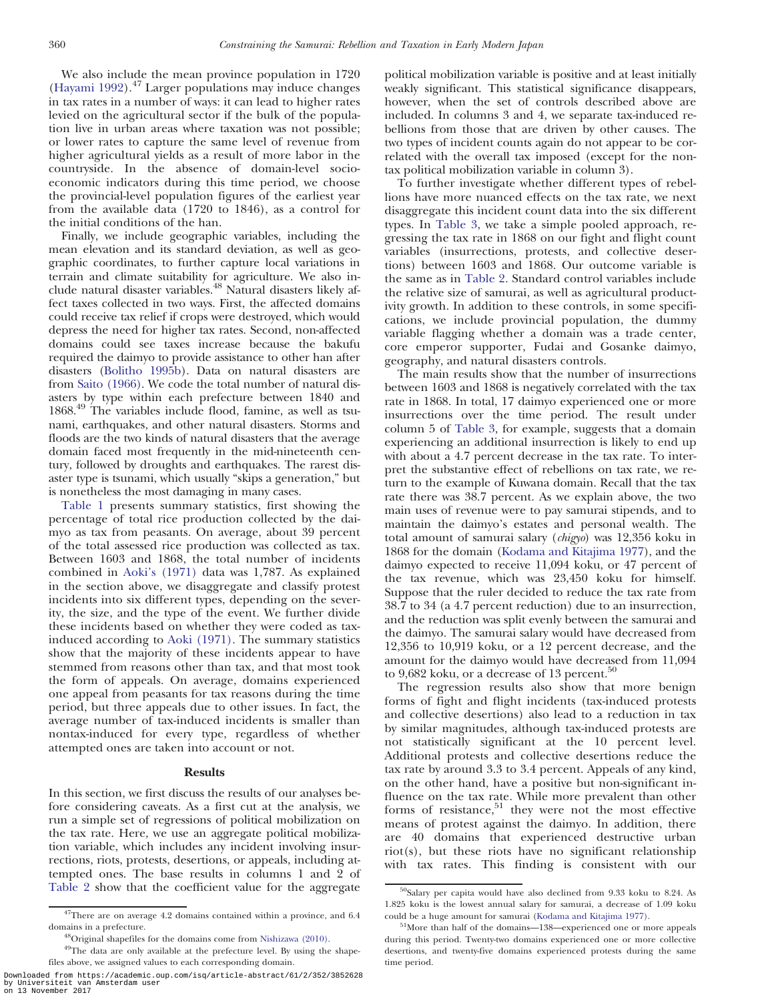We also include the mean province population in 1720 [\(Hayami 1992\)](#page-15-0). $^{47}$  Larger populations may induce changes in tax rates in a number of ways: it can lead to higher rates levied on the agricultural sector if the bulk of the population live in urban areas where taxation was not possible; or lower rates to capture the same level of revenue from higher agricultural yields as a result of more labor in the countryside. In the absence of domain-level socioeconomic indicators during this time period, we choose the provincial-level population figures of the earliest year from the available data (1720 to 1846), as a control for the initial conditions of the han.

Finally, we include geographic variables, including the mean elevation and its standard deviation, as well as geographic coordinates, to further capture local variations in terrain and climate suitability for agriculture. We also include natural disaster variables.48 Natural disasters likely affect taxes collected in two ways. First, the affected domains could receive tax relief if crops were destroyed, which would depress the need for higher tax rates. Second, non-affected domains could see taxes increase because the bakufu required the daimyo to provide assistance to other han after disasters [\(Bolitho 1995b\)](#page-14-0). Data on natural disasters are from [Saito \(1966\).](#page-15-0) We code the total number of natural disasters by type within each prefecture between 1840 and 1868.49 The variables include flood, famine, as well as tsunami, earthquakes, and other natural disasters. Storms and floods are the two kinds of natural disasters that the average domain faced most frequently in the mid-nineteenth century, followed by droughts and earthquakes. The rarest disaster type is tsunami, which usually "skips a generation," but is nonetheless the most damaging in many cases.

[Table 1](#page-10-0) presents summary statistics, first showing the percentage of total rice production collected by the daimyo as tax from peasants. On average, about 39 percent of the total assessed rice production was collected as tax. Between 1603 and 1868, the total number of incidents combined in [Aoki's \(1971\)](#page-14-0) data was 1,787. As explained in the section above, we disaggregate and classify protest incidents into six different types, depending on the severity, the size, and the type of the event. We further divide these incidents based on whether they were coded as taxinduced according to [Aoki \(1971\).](#page-14-0) The summary statistics show that the majority of these incidents appear to have stemmed from reasons other than tax, and that most took the form of appeals. On average, domains experienced one appeal from peasants for tax reasons during the time period, but three appeals due to other issues. In fact, the average number of tax-induced incidents is smaller than nontax-induced for every type, regardless of whether attempted ones are taken into account or not.

## Results

In this section, we first discuss the results of our analyses before considering caveats. As a first cut at the analysis, we run a simple set of regressions of political mobilization on the tax rate. Here, we use an aggregate political mobilization variable, which includes any incident involving insurrections, riots, protests, desertions, or appeals, including attempted ones. The base results in columns 1 and 2 of [Table 2](#page-10-0) show that the coefficient value for the aggregate

political mobilization variable is positive and at least initially weakly significant. This statistical significance disappears, however, when the set of controls described above are included. In columns 3 and 4, we separate tax-induced rebellions from those that are driven by other causes. The two types of incident counts again do not appear to be correlated with the overall tax imposed (except for the nontax political mobilization variable in column 3).

To further investigate whether different types of rebellions have more nuanced effects on the tax rate, we next disaggregate this incident count data into the six different types. In [Table 3](#page-11-0), we take a simple pooled approach, regressing the tax rate in 1868 on our fight and flight count variables (insurrections, protests, and collective desertions) between 1603 and 1868. Our outcome variable is the same as in [Table 2.](#page-10-0) Standard control variables include the relative size of samurai, as well as agricultural productivity growth. In addition to these controls, in some specifications, we include provincial population, the dummy variable flagging whether a domain was a trade center, core emperor supporter, Fudai and Gosanke daimyo, geography, and natural disasters controls.

The main results show that the number of insurrections between 1603 and 1868 is negatively correlated with the tax rate in 1868. In total, 17 daimyo experienced one or more insurrections over the time period. The result under column 5 of [Table 3,](#page-11-0) for example, suggests that a domain experiencing an additional insurrection is likely to end up with about a 4.7 percent decrease in the tax rate. To interpret the substantive effect of rebellions on tax rate, we return to the example of Kuwana domain. Recall that the tax rate there was 38.7 percent. As we explain above, the two main uses of revenue were to pay samurai stipends, and to maintain the daimyo's estates and personal wealth. The total amount of samurai salary (chigyo) was 12,356 koku in 1868 for the domain [\(Kodama and Kitajima 1977](#page-15-0)), and the daimyo expected to receive 11,094 koku, or 47 percent of the tax revenue, which was 23,450 koku for himself. Suppose that the ruler decided to reduce the tax rate from 38.7 to 34 (a 4.7 percent reduction) due to an insurrection, and the reduction was split evenly between the samurai and the daimyo. The samurai salary would have decreased from 12,356 to 10,919 koku, or a 12 percent decrease, and the amount for the daimyo would have decreased from 11,094 to  $9,682$  koku, or a decrease of 13 percent.<sup>5</sup>

The regression results also show that more benign forms of fight and flight incidents (tax-induced protests and collective desertions) also lead to a reduction in tax by similar magnitudes, although tax-induced protests are not statistically significant at the 10 percent level. Additional protests and collective desertions reduce the tax rate by around 3.3 to 3.4 percent. Appeals of any kind, on the other hand, have a positive but non-significant influence on the tax rate. While more prevalent than other forms of resistance,  $51$  they were not the most effective means of protest against the daimyo. In addition, there are 40 domains that experienced destructive urban riot(s), but these riots have no significant relationship with tax rates. This finding is consistent with our

<sup>47</sup>There are on average 4.2 domains contained within a province, and 6.4 domains in a prefecture.

<sup>48</sup>Original shapefiles for the domains come from [Nishizawa \(2010\)](#page-15-0).

<sup>49</sup>The data are only available at the prefecture level. By using the shapefiles above, we assigned values to each corresponding domain.

Downloaded from https://academic.oup.com/isq/article-abstract/61/2/352/3852628 by Universiteit van Amsterdam user on 13 November 2017

<sup>50</sup>Salary per capita would have also declined from 9.33 koku to 8.24. As 1.825 koku is the lowest annual salary for samurai, a decrease of 1.09 koku could be a huge amount for samurai ([Kodama and Kitajima 1977\)](#page-15-0).

 $51$ More than half of the domains—138—experienced one or more appeals during this period. Twenty-two domains experienced one or more collective desertions, and twenty-five domains experienced protests during the same time period.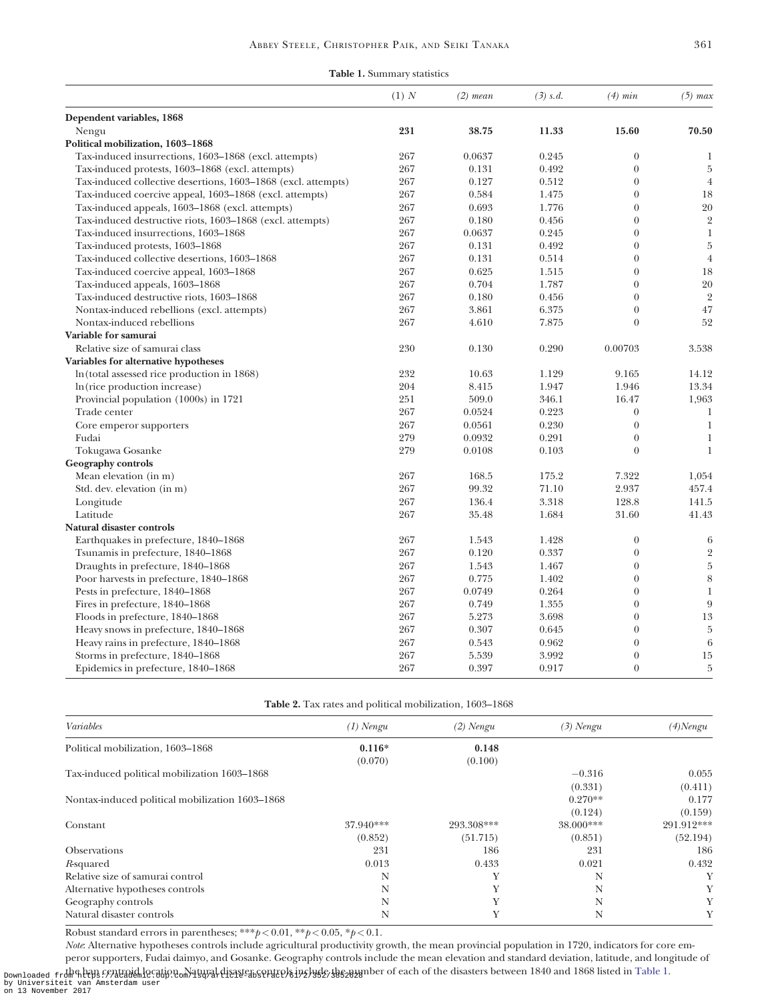<span id="page-10-0"></span>

|                                                               | (1) N | $(2)$ mean | $(3)$ s.d. | $(4)$ min        | $(5)$ max      |
|---------------------------------------------------------------|-------|------------|------------|------------------|----------------|
| Dependent variables, 1868                                     |       |            |            |                  |                |
| Nengu                                                         | 231   | 38.75      | 11.33      | 15.60            | 70.50          |
| Political mobilization, 1603-1868                             |       |            |            |                  |                |
| Tax-induced insurrections, 1603-1868 (excl. attempts)         | 267   | 0.0637     | 0.245      | $\boldsymbol{0}$ | $\mathbf{1}$   |
| Tax-induced protests, 1603-1868 (excl. attempts)              | 267   | 0.131      | 0.492      | $\theta$         | $\bf 5$        |
| Tax-induced collective desertions, 1603–1868 (excl. attempts) | 267   | 0.127      | 0.512      | $\overline{0}$   | $\overline{4}$ |
| Tax-induced coercive appeal, 1603–1868 (excl. attempts)       | 267   | 0.584      | 1.475      | $\overline{0}$   | 18             |
| Tax-induced appeals, 1603–1868 (excl. attempts)               | 267   | 0.693      | 1.776      | $\overline{0}$   | 20             |
| Tax-induced destructive riots, 1603–1868 (excl. attempts)     | 267   | 0.180      | 0.456      | $\overline{0}$   | $\sqrt{2}$     |
| Tax-induced insurrections, 1603-1868                          | 267   | 0.0637     | 0.245      | $\overline{0}$   | $\mathbf{1}$   |
| Tax-induced protests, 1603-1868                               | 267   | 0.131      | 0.492      | $\overline{0}$   | $\overline{5}$ |
| Tax-induced collective desertions, 1603-1868                  | 267   | 0.131      | 0.514      | $\overline{0}$   | $\overline{4}$ |
| Tax-induced coercive appeal, 1603-1868                        | 267   | 0.625      | 1.515      | $\overline{0}$   | 18             |
| Tax-induced appeals, 1603–1868                                | 267   | 0.704      | 1.787      | $\theta$         | 20             |
| Tax-induced destructive riots, 1603-1868                      | 267   | 0.180      | 0.456      | $\theta$         | $\overline{2}$ |
| Nontax-induced rebellions (excl. attempts)                    | 267   | 3.861      | 6.375      | $\overline{0}$   | $47\,$         |
| Nontax-induced rebellions                                     | 267   | 4.610      | 7.875      | $\overline{0}$   | 52             |
| Variable for samurai                                          |       |            |            |                  |                |
| Relative size of samurai class                                | 230   | 0.130      | 0.290      | 0.00703          | 3.538          |
| Variables for alternative hypotheses                          |       |            |            |                  |                |
| In (total assessed rice production in 1868)                   | 232   | 10.63      | 1.129      | 9.165            | 14.12          |
| In (rice production increase)                                 | 204   | 8.415      | 1.947      | 1.946            | 13.34          |
| Provincial population (1000s) in 1721                         | 251   | 509.0      | 346.1      | 16.47            | 1,963          |
| Trade center                                                  | 267   | 0.0524     | 0.223      | $\theta$         | 1              |
| Core emperor supporters                                       | 267   | 0.0561     | 0.230      | $\theta$         | 1              |
| Fudai                                                         | 279   | 0.0932     | 0.291      | $\overline{0}$   | $\mathbf{1}$   |
| Tokugawa Gosanke                                              | 279   | 0.0108     | 0.103      | $\overline{0}$   | $\mathbf{1}$   |
| Geography controls                                            |       |            |            |                  |                |
| Mean elevation (in m)                                         | 267   | 168.5      | 175.2      | 7.322            | 1,054          |
| Std. dev. elevation (in m)                                    | 267   | 99.32      | 71.10      | 2.937            | 457.4          |
| Longitude                                                     | 267   | 136.4      | 3.318      | 128.8            | 141.5          |
| Latitude                                                      | 267   | 35.48      | 1.684      | 31.60            | 41.43          |
| Natural disaster controls                                     |       |            |            |                  |                |
| Earthquakes in prefecture, 1840–1868                          | 267   | 1.543      | 1.428      | $\theta$         | 6              |
| Tsunamis in prefecture, 1840-1868                             | 267   | 0.120      | 0.337      | $\boldsymbol{0}$ | $\sqrt{2}$     |
| Draughts in prefecture, 1840-1868                             | 267   | 1.543      | 1.467      | $\overline{0}$   | $\overline{5}$ |
| Poor harvests in prefecture, 1840-1868                        | 267   | 0.775      | 1.402      | $\boldsymbol{0}$ | $\,8\,$        |
| Pests in prefecture, 1840-1868                                | 267   | 0.0749     | 0.264      | $\overline{0}$   | 1              |
| Fires in prefecture, 1840–1868                                | 267   | 0.749      | 1.355      | $\overline{0}$   | 9              |
| Floods in prefecture, 1840-1868                               | 267   | 5.273      | 3.698      | $\overline{0}$   | 13             |
| Heavy snows in prefecture, 1840-1868                          | 267   | 0.307      | 0.645      | $\theta$         | $\overline{5}$ |
| Heavy rains in prefecture, 1840-1868                          | 267   | 0.543      | 0.962      | $\overline{0}$   | 6              |
| Storms in prefecture, 1840–1868                               | 267   | 5.539      | 3.992      | $\boldsymbol{0}$ | 15             |
| Epidemics in prefecture, 1840-1868                            | 267   | 0.397      | 0.917      | $\overline{0}$   | $\overline{5}$ |
|                                                               |       |            |            |                  |                |

| Table 2. Tax rates and political mobilization, 1603-1868 |  |  |  |
|----------------------------------------------------------|--|--|--|
|----------------------------------------------------------|--|--|--|

| Variables                                       | $(1)$ Nengu | (2) Nengu  | $(3)$ Nengu | $(4)$ Nengu |
|-------------------------------------------------|-------------|------------|-------------|-------------|
| Political mobilization, 1603-1868               | $0.116*$    | 0.148      |             |             |
|                                                 | (0.070)     | (0.100)    |             |             |
| Tax-induced political mobilization 1603-1868    |             |            | $-0.316$    | 0.055       |
|                                                 |             |            | (0.331)     | (0.411)     |
| Nontax-induced political mobilization 1603-1868 |             |            | $0.270**$   | 0.177       |
|                                                 |             |            | (0.124)     | (0.159)     |
| Constant                                        | 37.940***   | 293.308*** | 38.000***   | 291.912***  |
|                                                 | (0.852)     | (51.715)   | (0.851)     | (52.194)    |
| <b>Observations</b>                             | 231         | 186        | 231         | 186         |
| <i>R</i> -squared                               | 0.013       | 0.433      | 0.021       | 0.432       |
| Relative size of samurai control                | N           |            | N           |             |
| Alternative hypotheses controls                 | N           |            | N           |             |
| Geography controls                              | N           | Y          | N           |             |
| Natural disaster controls                       | N           | Y          | N           |             |

Robust standard errors in parentheses; \*\*\* $p < 0.01$ , \*\* $p < 0.05$ , \* $p < 0.1$ .

Note: Alternative hypotheses controls include agricultural productivity growth, the mean provincial population in 1720, indicators for core emperor supporters, Fudai daimyo, and Gosanke. Geography controls include the mean elevation and standard deviation, latitude, and longitude of Downloaded frie han centroid location. Natural disaster controls include the sumpose of each of the disasters between 1840 and 1868 listed in Table 1.<br>by Universiteit van Amsterdam user<br>on 13 November 2017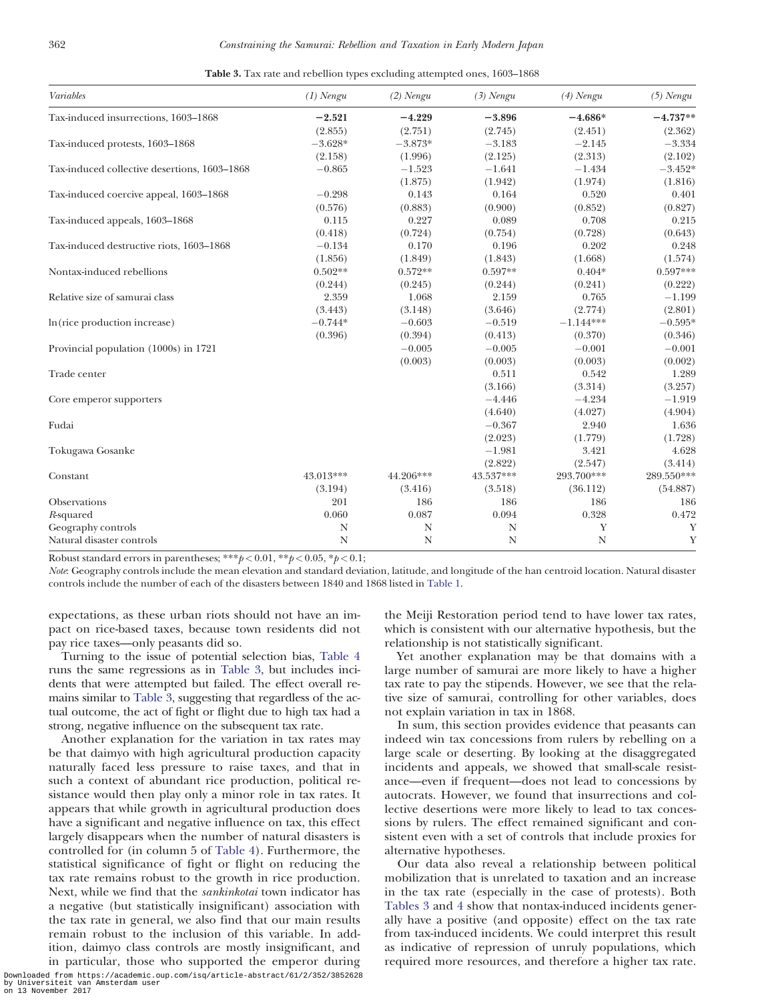<span id="page-11-0"></span>

| Variables                                    | $(1)$ Nengu | $(2)$ Nengu | $(3)$ Nengu | $(4)$ Nengu | $(5)$ Nengu |
|----------------------------------------------|-------------|-------------|-------------|-------------|-------------|
| Tax-induced insurrections, 1603-1868         | $-2.521$    | $-4.229$    | $-3.896$    | $-4.686*$   | $-4.737**$  |
|                                              | (2.855)     | (2.751)     | (2.745)     | (2.451)     | (2.362)     |
| Tax-induced protests, 1603-1868              | $-3.628*$   | $-3.873*$   | $-3.183$    | $-2.145$    | $-3.334$    |
|                                              | (2.158)     | (1.996)     | (2.125)     | (2.313)     | (2.102)     |
| Tax-induced collective desertions, 1603-1868 | $-0.865$    | $-1.523$    | $-1.641$    | $-1.434$    | $-3.452*$   |
|                                              |             | (1.875)     | (1.942)     | (1.974)     | (1.816)     |
| Tax-induced coercive appeal, 1603-1868       | $-0.298$    | 0.143       | 0.164       | 0.520       | 0.401       |
|                                              | (0.576)     | (0.883)     | (0.900)     | (0.852)     | (0.827)     |
| Tax-induced appeals, 1603-1868               | 0.115       | 0.227       | 0.089       | 0.708       | 0.215       |
|                                              | (0.418)     | (0.724)     | (0.754)     | (0.728)     | (0.643)     |
| Tax-induced destructive riots, 1603-1868     | $-0.134$    | 0.170       | 0.196       | 0.202       | 0.248       |
|                                              | (1.856)     | (1.849)     | (1.843)     | (1.668)     | (1.574)     |
| Nontax-induced rebellions                    | $0.502**$   | $0.572**$   | $0.597**$   | $0.404*$    | $0.597***$  |
|                                              | (0.244)     | (0.245)     | (0.244)     | (0.241)     | (0.222)     |
| Relative size of samurai class               | 2.359       | 1.068       | 2.159       | 0.765       | $-1.199$    |
|                                              | (3.443)     | (3.148)     | (3.646)     | (2.774)     | (2.801)     |
| In (rice production increase)                | $-0.744*$   | $-0.603$    | $-0.519$    | $-1.144***$ | $-0.595*$   |
|                                              | (0.396)     | (0.394)     | (0.413)     | (0.370)     | (0.346)     |
| Provincial population (1000s) in 1721        |             | $-0.005$    | $-0.005$    | $-0.001$    | $-0.001$    |
|                                              |             | (0.003)     | (0.003)     | (0.003)     | (0.002)     |
| Trade center                                 |             |             | 0.511       | 0.542       | 1.289       |
|                                              |             |             | (3.166)     | (3.314)     | (3.257)     |
| Core emperor supporters                      |             |             | $-4.446$    | $-4.234$    | $-1.919$    |
|                                              |             |             | (4.640)     | (4.027)     | (4.904)     |
| Fudai                                        |             |             | $-0.367$    | 2.940       | 1.636       |
|                                              |             |             | (2.023)     | (1.779)     | (1.728)     |
| Tokugawa Gosanke                             |             |             | $-1.981$    | 3.421       | 4.628       |
|                                              |             |             | (2.822)     | (2.547)     | (3.414)     |
| Constant                                     | 43.013***   | 44.206***   | 43.537***   | 293.700***  | 289.550***  |
|                                              | (3.194)     | (3.416)     | (3.518)     | (36.112)    | (54.887)    |
| Observations                                 | 201         | 186         | 186         | 186         | 186         |
| R-squared                                    | 0.060       | 0.087       | 0.094       | 0.328       | 0.472       |
| Geography controls                           | N           | N           | $\mathbf N$ | Y           | Y           |
| Natural disaster controls                    | N           | N           | $\mathbf N$ | $\mathbf N$ | Y           |

Robust standard errors in parentheses; \*\*\* $p < 0.01$ , \*\* $p < 0.05$ , \* $p < 0.1$ ;

Note: Geography controls include the mean elevation and standard deviation, latitude, and longitude of the han centroid location. Natural disaster controls include the number of each of the disasters between 1840 and 1868 listed in [Table 1.](#page-10-0)

expectations, as these urban riots should not have an impact on rice-based taxes, because town residents did not pay rice taxes—only peasants did so.

Turning to the issue of potential selection bias, [Table 4](#page-12-0) runs the same regressions as in Table 3, but includes incidents that were attempted but failed. The effect overall remains similar to Table 3, suggesting that regardless of the actual outcome, the act of fight or flight due to high tax had a strong, negative influence on the subsequent tax rate.

Another explanation for the variation in tax rates may be that daimyo with high agricultural production capacity naturally faced less pressure to raise taxes, and that in such a context of abundant rice production, political resistance would then play only a minor role in tax rates. It appears that while growth in agricultural production does have a significant and negative influence on tax, this effect largely disappears when the number of natural disasters is controlled for (in column 5 of [Table 4](#page-12-0)). Furthermore, the statistical significance of fight or flight on reducing the tax rate remains robust to the growth in rice production. Next, while we find that the sankinkotai town indicator has a negative (but statistically insignificant) association with the tax rate in general, we also find that our main results remain robust to the inclusion of this variable. In addition, daimyo class controls are mostly insignificant, and in particular, those who supported the emperor during

Downloaded from https://academic.oup.com/isq/article-abstract/61/2/352/3852628 by Universiteit van Amsterdam user on 13 November 2017

the Meiji Restoration period tend to have lower tax rates, which is consistent with our alternative hypothesis, but the relationship is not statistically significant.

Yet another explanation may be that domains with a large number of samurai are more likely to have a higher tax rate to pay the stipends. However, we see that the relative size of samurai, controlling for other variables, does not explain variation in tax in 1868.

In sum, this section provides evidence that peasants can indeed win tax concessions from rulers by rebelling on a large scale or deserting. By looking at the disaggregated incidents and appeals, we showed that small-scale resistance—even if frequent—does not lead to concessions by autocrats. However, we found that insurrections and collective desertions were more likely to lead to tax concessions by rulers. The effect remained significant and consistent even with a set of controls that include proxies for alternative hypotheses.

Our data also reveal a relationship between political mobilization that is unrelated to taxation and an increase in the tax rate (especially in the case of protests). Both Tables 3 and [4](#page-12-0) show that nontax-induced incidents generally have a positive (and opposite) effect on the tax rate from tax-induced incidents. We could interpret this result as indicative of repression of unruly populations, which required more resources, and therefore a higher tax rate.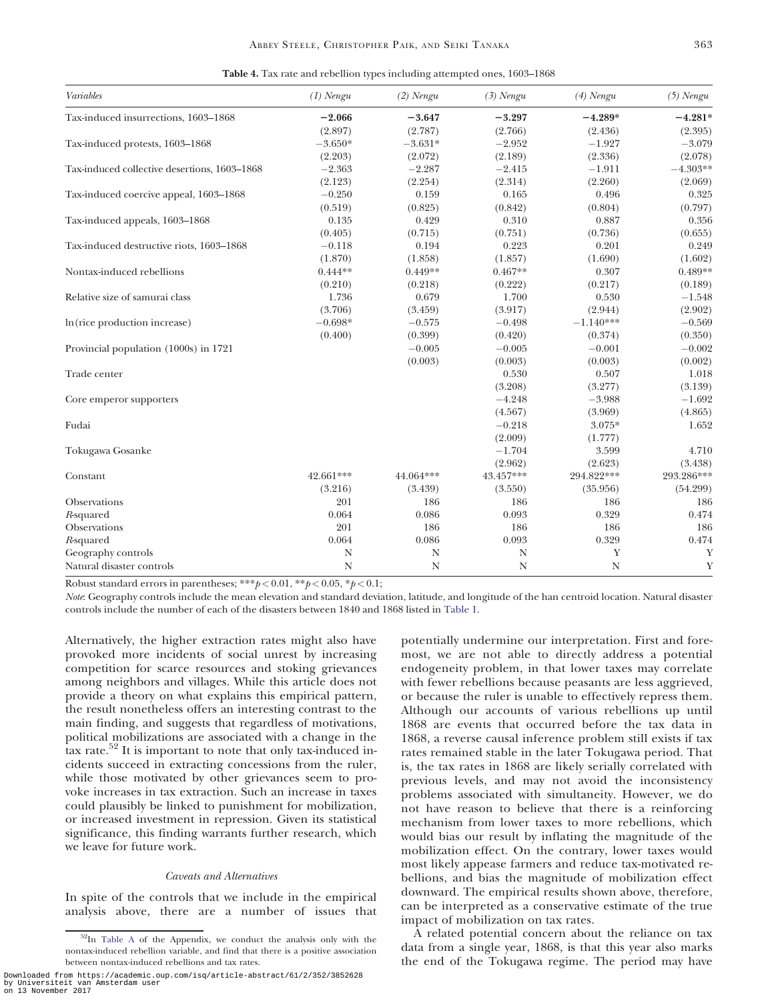| <b>Table 4.</b> Tax rate and rebellion types including attempted ones, 1603–1868 |  |  |
|----------------------------------------------------------------------------------|--|--|
|----------------------------------------------------------------------------------|--|--|

<span id="page-12-0"></span>

| Variables                                    | $(1)$ Nengu | $(2)$ Nengu | $(3)$ Nengu | $(4)$ Nengu | $(5)$ Nengu |
|----------------------------------------------|-------------|-------------|-------------|-------------|-------------|
| Tax-induced insurrections, 1603-1868         | $-2.066$    | $-3.647$    | $-3.297$    | $-4.289*$   | $-4.281*$   |
|                                              | (2.897)     | (2.787)     | (2.766)     | (2.436)     | (2.395)     |
| Tax-induced protests, 1603-1868              | $-3.650*$   | $-3.631*$   | $-2.952$    | $-1.927$    | $-3.079$    |
|                                              | (2.203)     | (2.072)     | (2.189)     | (2.336)     | (2.078)     |
| Tax-induced collective desertions, 1603-1868 | $-2.363$    | $-2.287$    | $-2.415$    | $-1.911$    | $-4.303**$  |
|                                              | (2.123)     | (2.254)     | (2.314)     | (2.260)     | (2.069)     |
| Tax-induced coercive appeal, 1603-1868       | $-0.250$    | 0.159       | 0.165       | 0.496       | 0.325       |
|                                              | (0.519)     | (0.825)     | (0.842)     | (0.804)     | (0.797)     |
| Tax-induced appeals, 1603-1868               | 0.135       | 0.429       | 0.310       | 0.887       | 0.356       |
|                                              | (0.405)     | (0.715)     | (0.751)     | (0.736)     | (0.655)     |
| Tax-induced destructive riots, 1603-1868     | $-0.118$    | 0.194       | 0.223       | 0.201       | 0.249       |
|                                              | (1.870)     | (1.858)     | (1.857)     | (1.690)     | (1.602)     |
| Nontax-induced rebellions                    | $0.444**$   | $0.449**$   | $0.467**$   | 0.307       | $0.489**$   |
|                                              | (0.210)     | (0.218)     | (0.222)     | (0.217)     | (0.189)     |
| Relative size of samurai class               | 1.736       | 0.679       | 1.700       | 0.530       | $-1.548$    |
|                                              | (3.706)     | (3.459)     | (3.917)     | (2.944)     | (2.902)     |
| In (rice production increase)                | $-0.698*$   | $-0.575$    | $-0.498$    | $-1.140***$ | $-0.569$    |
|                                              | (0.400)     | (0.399)     | (0.420)     | (0.374)     | (0.350)     |
| Provincial population (1000s) in 1721        |             | $-0.005$    | $-0.005$    | $-0.001$    | $-0.002$    |
|                                              |             | (0.003)     | (0.003)     | (0.003)     | (0.002)     |
| Trade center                                 |             |             | 0.530       | 0.507       | 1.018       |
|                                              |             |             | (3.208)     | (3.277)     | (3.139)     |
| Core emperor supporters                      |             |             | $-4.248$    | $-3.988$    | $-1.692$    |
|                                              |             |             | (4.567)     | (3.969)     | (4.865)     |
| Fudai                                        |             |             | $-0.218$    | $3.075*$    | 1.652       |
|                                              |             |             | (2.009)     | (1.777)     |             |
| Tokugawa Gosanke                             |             |             | $-1.704$    | 3.599       | 4.710       |
|                                              |             |             | (2.962)     | (2.623)     | (3.438)     |
| Constant                                     | 42.661***   | 44.064***   | $43.457***$ | 294.822***  | 293.286***  |
|                                              | (3.216)     | (3.439)     | (3.550)     | (35.956)    | (54.299)    |
| Observations                                 | 201         | 186         | 186         | 186         | 186         |
| <b>R</b> -squared                            | 0.064       | 0.086       | 0.093       | 0.329       | 0.474       |
| Observations                                 | 201         | 186         | 186         | 186         | 186         |
| <b>R</b> -squared                            | 0.064       | 0.086       | 0.093       | 0.329       | 0.474       |
| Geography controls                           | N           | N           | N           | Y           | Υ           |
| Natural disaster controls                    | N           | N           | N           | $\mathbf N$ | Y           |

Robust standard errors in parentheses; \*\*\* $p < 0.01$ , \*\* $p < 0.05$ , \* $p < 0.1$ ;

Note: Geography controls include the mean elevation and standard deviation, latitude, and longitude of the han centroid location. Natural disaster controls include the number of each of the disasters between 1840 and 1868 listed in [Table 1.](#page-10-0)

Alternatively, the higher extraction rates might also have provoked more incidents of social unrest by increasing competition for scarce resources and stoking grievances among neighbors and villages. While this article does not provide a theory on what explains this empirical pattern, the result nonetheless offers an interesting contrast to the main finding, and suggests that regardless of motivations, political mobilizations are associated with a change in the  $\tau$  tax rate.<sup>52</sup> It is important to note that only tax-induced incidents succeed in extracting concessions from the ruler, while those motivated by other grievances seem to provoke increases in tax extraction. Such an increase in taxes could plausibly be linked to punishment for mobilization, or increased investment in repression. Given its statistical significance, this finding warrants further research, which we leave for future work.

# Caveats and Alternatives

In spite of the controls that we include in the empirical analysis above, there are a number of issues that

potentially undermine our interpretation. First and foremost, we are not able to directly address a potential endogeneity problem, in that lower taxes may correlate with fewer rebellions because peasants are less aggrieved, or because the ruler is unable to effectively repress them. Although our accounts of various rebellions up until 1868 are events that occurred before the tax data in 1868, a reverse causal inference problem still exists if tax rates remained stable in the later Tokugawa period. That is, the tax rates in 1868 are likely serially correlated with previous levels, and may not avoid the inconsistency problems associated with simultaneity. However, we do not have reason to believe that there is a reinforcing mechanism from lower taxes to more rebellions, which would bias our result by inflating the magnitude of the mobilization effect. On the contrary, lower taxes would most likely appease farmers and reduce tax-motivated rebellions, and bias the magnitude of mobilization effect downward. The empirical results shown above, therefore, can be interpreted as a conservative estimate of the true impact of mobilization on tax rates.

A related potential concern about the reliance on tax data from a single year, 1868, is that this year also marks the end of the Tokugawa regime. The period may have

<sup>52</sup>In [Table A](#page-10-0) of the Appendix, we conduct the analysis only with the nontax-induced rebellion variable, and find that there is a positive association between nontax-induced rebellions and tax rates.

Downloaded from https://academic.oup.com/isq/article-abstract/61/2/352/3852628 by Universiteit van Amsterdam user on 13 November 2017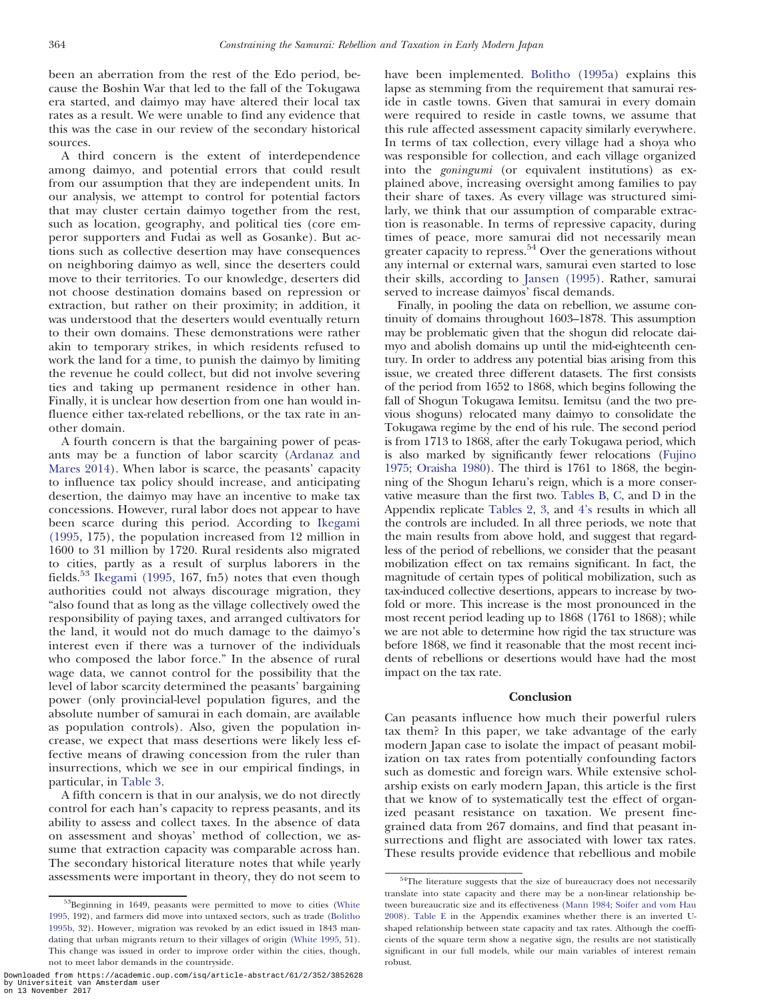been an aberration from the rest of the Edo period, because the Boshin War that led to the fall of the Tokugawa era started, and daimyo may have altered their local tax rates as a result. We were unable to find any evidence that this was the case in our review of the secondary historical sources.

A third concern is the extent of interdependence among daimyo, and potential errors that could result from our assumption that they are independent units. In our analysis, we attempt to control for potential factors that may cluster certain daimyo together from the rest, such as location, geography, and political ties (core emperor supporters and Fudai as well as Gosanke). But actions such as collective desertion may have consequences on neighboring daimyo as well, since the deserters could move to their territories. To our knowledge, deserters did not choose destination domains based on repression or extraction, but rather on their proximity; in addition, it was understood that the deserters would eventually return to their own domains. These demonstrations were rather akin to temporary strikes, in which residents refused to work the land for a time, to punish the daimyo by limiting the revenue he could collect, but did not involve severing ties and taking up permanent residence in other han. Finally, it is unclear how desertion from one han would influence either tax-related rebellions, or the tax rate in another domain.

A fourth concern is that the bargaining power of peasants may be a function of labor scarcity [\(Ardanaz and](#page-14-0) [Mares 2014](#page-14-0)). When labor is scarce, the peasants' capacity to influence tax policy should increase, and anticipating desertion, the daimyo may have an incentive to make tax concessions. However, rural labor does not appear to have been scarce during this period. According to [Ikegami](#page-15-0) [\(1995,](#page-15-0) 175), the population increased from 12 million in 1600 to 31 million by 1720. Rural residents also migrated to cities, partly as a result of surplus laborers in the fields.<sup>53</sup> [Ikegami \(1995,](#page-15-0) 167, fn5) notes that even though authorities could not always discourage migration, they "also found that as long as the village collectively owed the responsibility of paying taxes, and arranged cultivators for the land, it would not do much damage to the daimyo's interest even if there was a turnover of the individuals who composed the labor force." In the absence of rural wage data, we cannot control for the possibility that the level of labor scarcity determined the peasants' bargaining power (only provincial-level population figures, and the absolute number of samurai in each domain, are available as population controls). Also, given the population increase, we expect that mass desertions were likely less effective means of drawing concession from the ruler than insurrections, which we see in our empirical findings, in particular, in [Table 3.](#page-11-0)

A fifth concern is that in our analysis, we do not directly control for each han's capacity to repress peasants, and its ability to assess and collect taxes. In the absence of data on assessment and shoyas' method of collection, we assume that extraction capacity was comparable across han. The secondary historical literature notes that while yearly assessments were important in theory, they do not seem to have been implemented. [Bolitho \(1995a\)](#page-14-0) explains this lapse as stemming from the requirement that samurai reside in castle towns. Given that samurai in every domain were required to reside in castle towns, we assume that this rule affected assessment capacity similarly everywhere. In terms of tax collection, every village had a shoya who was responsible for collection, and each village organized into the goningumi (or equivalent institutions) as explained above, increasing oversight among families to pay their share of taxes. As every village was structured similarly, we think that our assumption of comparable extraction is reasonable. In terms of repressive capacity, during times of peace, more samurai did not necessarily mean greater capacity to repress.<sup>54</sup> Over the generations without any internal or external wars, samurai even started to lose their skills, according to [Jansen \(1995\).](#page-15-0) Rather, samurai served to increase daimyos' fiscal demands.

Finally, in pooling the data on rebellion, we assume continuity of domains throughout 1603–1878. This assumption may be problematic given that the shogun did relocate daimyo and abolish domains up until the mid-eighteenth century. In order to address any potential bias arising from this issue, we created three different datasets. The first consists of the period from 1652 to 1868, which begins following the fall of Shogun Tokugawa Iemitsu. Iemitsu (and the two previous shoguns) relocated many daimyo to consolidate the Tokugawa regime by the end of his rule. The second period is from 1713 to 1868, after the early Tokugawa period, which is also marked by significantly fewer relocations [\(Fujino](#page-14-0) [1975;](#page-14-0) [Oraisha 1980\)](#page-15-0). The third is 1761 to 1868, the beginning of the Shogun Ieharu's reign, which is a more conservative measure than the first two. Tables B, C, and D in the Appendix replicate [Tables 2](#page-10-0), [3](#page-11-0), and [4's](#page-12-0) results in which all the controls are included. In all three periods, we note that the main results from above hold, and suggest that regardless of the period of rebellions, we consider that the peasant mobilization effect on tax remains significant. In fact, the magnitude of certain types of political mobilization, such as tax-induced collective desertions, appears to increase by twofold or more. This increase is the most pronounced in the most recent period leading up to 1868 (1761 to 1868); while we are not able to determine how rigid the tax structure was before 1868, we find it reasonable that the most recent incidents of rebellions or desertions would have had the most impact on the tax rate.

#### Conclusion

Can peasants influence how much their powerful rulers tax them? In this paper, we take advantage of the early modern Japan case to isolate the impact of peasant mobilization on tax rates from potentially confounding factors such as domestic and foreign wars. While extensive scholarship exists on early modern Japan, this article is the first that we know of to systematically test the effect of organized peasant resistance on taxation. We present finegrained data from 267 domains, and find that peasant insurrections and flight are associated with lower tax rates. These results provide evidence that rebellious and mobile

<sup>53</sup>Beginning in 1649, peasants were permitted to move to cities [\(White](#page-15-0) [1995,](#page-15-0) 192), and farmers did move into untaxed sectors, such as trade ([Bolitho](#page-14-0) [1995b,](#page-14-0) 32). However, migration was revoked by an edict issued in 1843 mandating that urban migrants return to their villages of origin ([White 1995](#page-15-0), 51). This change was issued in order to improve order within the cities, though, not to meet labor demands in the countryside.

Downloaded from https://academic.oup.com/isq/article-abstract/61/2/352/3852628 by Universiteit van Amsterdam user on 13 November 2017

<sup>54</sup>The literature suggests that the size of bureaucracy does not necessarily translate into state capacity and there may be a non-linear relationship between bureaucratic size and its effectiveness [\(Mann 1984](#page-15-0); [Soifer and vom Hau](#page-15-0) [2008\)](#page-15-0). Table E in the Appendix examines whether there is an inverted Ushaped relationship between state capacity and tax rates. Although the coefficients of the square term show a negative sign, the results are not statistically significant in our full models, while our main variables of interest remain robust.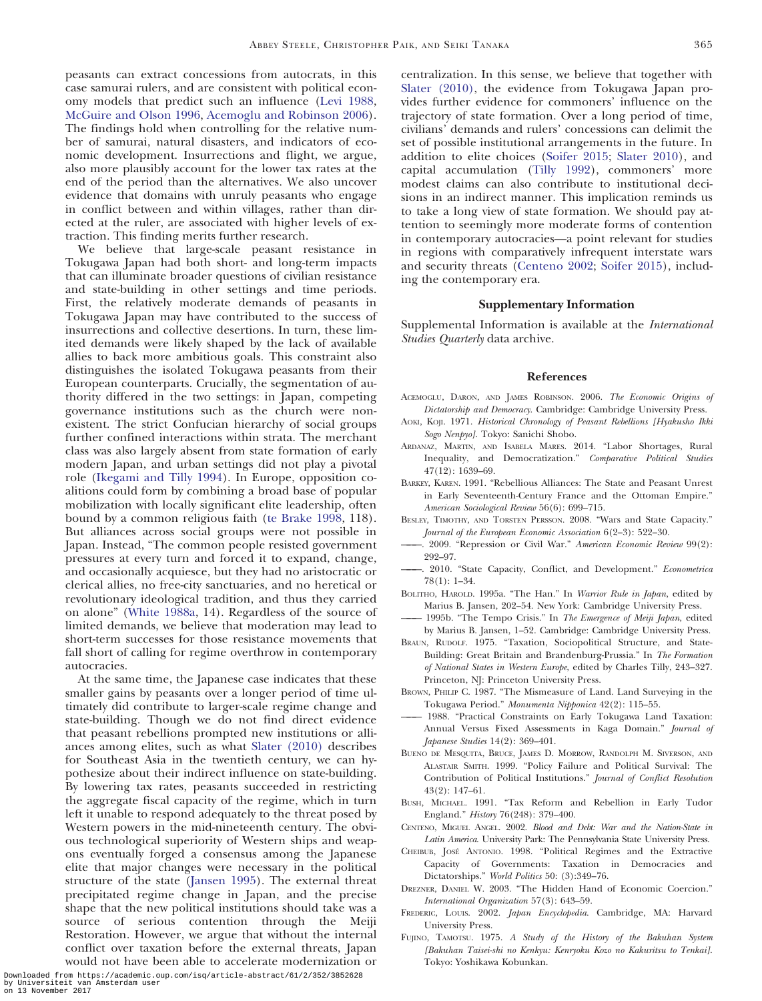<span id="page-14-0"></span>peasants can extract concessions from autocrats, in this case samurai rulers, and are consistent with political economy models that predict such an influence [\(Levi 1988](#page-15-0), [McGuire and Olson 1996,](#page-15-0) Acemoglu and Robinson 2006). The findings hold when controlling for the relative number of samurai, natural disasters, and indicators of economic development. Insurrections and flight, we argue, also more plausibly account for the lower tax rates at the end of the period than the alternatives. We also uncover evidence that domains with unruly peasants who engage in conflict between and within villages, rather than directed at the ruler, are associated with higher levels of extraction. This finding merits further research.

We believe that large-scale peasant resistance in Tokugawa Japan had both short- and long-term impacts that can illuminate broader questions of civilian resistance and state-building in other settings and time periods. First, the relatively moderate demands of peasants in Tokugawa Japan may have contributed to the success of insurrections and collective desertions. In turn, these limited demands were likely shaped by the lack of available allies to back more ambitious goals. This constraint also distinguishes the isolated Tokugawa peasants from their European counterparts. Crucially, the segmentation of authority differed in the two settings: in Japan, competing governance institutions such as the church were nonexistent. The strict Confucian hierarchy of social groups further confined interactions within strata. The merchant class was also largely absent from state formation of early modern Japan, and urban settings did not play a pivotal role [\(Ikegami and Tilly 1994\)](#page-15-0). In Europe, opposition coalitions could form by combining a broad base of popular mobilization with locally significant elite leadership, often bound by a common religious faith ([te Brake 1998](#page-15-0), 118). But alliances across social groups were not possible in Japan. Instead, "The common people resisted government pressures at every turn and forced it to expand, change, and occasionally acquiesce, but they had no aristocratic or clerical allies, no free-city sanctuaries, and no heretical or revolutionary ideological tradition, and thus they carried on alone" [\(White 1988a,](#page-15-0) 14). Regardless of the source of limited demands, we believe that moderation may lead to short-term successes for those resistance movements that fall short of calling for regime overthrow in contemporary autocracies.

At the same time, the Japanese case indicates that these smaller gains by peasants over a longer period of time ultimately did contribute to larger-scale regime change and state-building. Though we do not find direct evidence that peasant rebellions prompted new institutions or alliances among elites, such as what [Slater \(2010\)](#page-15-0) describes for Southeast Asia in the twentieth century, we can hypothesize about their indirect influence on state-building. By lowering tax rates, peasants succeeded in restricting the aggregate fiscal capacity of the regime, which in turn left it unable to respond adequately to the threat posed by Western powers in the mid-nineteenth century. The obvious technological superiority of Western ships and weapons eventually forged a consensus among the Japanese elite that major changes were necessary in the political structure of the state ([Jansen 1995](#page-15-0)). The external threat precipitated regime change in Japan, and the precise shape that the new political institutions should take was a source of serious contention through the Meiji Restoration. However, we argue that without the internal conflict over taxation before the external threats, Japan would not have been able to accelerate modernization or

centralization. In this sense, we believe that together with [Slater \(2010\),](#page-15-0) the evidence from Tokugawa Japan provides further evidence for commoners' influence on the trajectory of state formation. Over a long period of time, civilians' demands and rulers' concessions can delimit the set of possible institutional arrangements in the future. In addition to elite choices ([Soifer 2015;](#page-15-0) [Slater 2010](#page-15-0)), and capital accumulation [\(Tilly 1992\)](#page-15-0), commoners' more modest claims can also contribute to institutional decisions in an indirect manner. This implication reminds us to take a long view of state formation. We should pay attention to seemingly more moderate forms of contention in contemporary autocracies—a point relevant for studies in regions with comparatively infrequent interstate wars and security threats (Centeno 2002; [Soifer 2015\)](#page-15-0), including the contemporary era.

#### Supplementary Information

Supplemental Information is available at the International Studies Quarterly data archive.

#### References

- ACEMOGLU, DARON, AND JAMES ROBINSON. 2006. The Economic Origins of Dictatorship and Democracy. Cambridge: Cambridge University Press.
- AOKI, KOJI. 1971. Historical Chronology of Peasant Rebellions [Hyakusho Ikki Sogo Nenpyo]. Tokyo: Sanichi Shobo.
- ARDANAZ, MARTIN, AND ISABELA MARES. 2014. "Labor Shortages, Rural Inequality, and Democratization." Comparative Political Studies 47(12): 1639–69.
- BARKEY, KAREN. 1991. "Rebellious Alliances: The State and Peasant Unrest in Early Seventeenth-Century France and the Ottoman Empire." American Sociological Review 56(6): 699–715.
- BESLEY, TIMOTHY, AND TORSTEN PERSSON. 2008. "Wars and State Capacity." Journal of the European Economic Association 6(2–3): 522–30.
- -. 2009. "Repression or Civil War." American Economic Review 99(2): 292–97.
- -. 2010. "State Capacity, Conflict, and Development." Econometrica 78(1): 1–34.
- BOLITHO, HAROLD. 1995a. "The Han." In Warrior Rule in Japan, edited by Marius B. Jansen, 202–54. New York: Cambridge University Press.
- 1995b. "The Tempo Crisis." In The Emergence of Meiji Japan, edited by Marius B. Jansen, 1–52. Cambridge: Cambridge University Press.
- BRAUN, RUDOLF. 1975. "Taxation, Sociopolitical Structure, and State-Building: Great Britain and Brandenburg-Prussia." In The Formation of National States in Western Europe, edited by Charles Tilly, 243–327. Princeton, NJ: Princeton University Press.
- BROWN, PHILIP C. 1987. "The Mismeasure of Land. Land Surveying in the Tokugawa Period." Monumenta Nipponica 42(2): 115–55.
- 1988. "Practical Constraints on Early Tokugawa Land Taxation: Annual Versus Fixed Assessments in Kaga Domain." Journal of Japanese Studies 14(2): 369–401.
- BUENO DE MESQUITA, BRUCE, JAMES D. MORROW, RANDOLPH M. SIVERSON, AND ALASTAIR SMITH. 1999. "Policy Failure and Political Survival: The Contribution of Political Institutions." Journal of Conflict Resolution 43(2): 147–61.
- BUSH, MICHAEL. 1991. "Tax Reform and Rebellion in Early Tudor England." History 76(248): 379–400.
- CENTENO, MIGUEL ANGEL. 2002. Blood and Debt: War and the Nation-State in Latin America. University Park: The Pennsylvania State University Press.
- CHEIBUB, JOSE´ ANTONIO. 1998. "Political Regimes and the Extractive Capacity of Governments: Taxation in Democracies and Dictatorships." World Politics 50: (3):349–76.
- DREZNER, DANIEL W. 2003. "The Hidden Hand of Economic Coercion." International Organization 57(3): 643–59.
- FREDERIC, LOUIS. 2002. Japan Encyclopedia. Cambridge, MA: Harvard University Press.
- FUJINO, TAMOTSU. 1975. A Study of the History of the Bakuhan System [Bakuhan Taisei-shi no Kenkyu: Kenryoku Kozo no Kakuritsu to Tenkai]. Tokyo: Yoshikawa Kobunkan.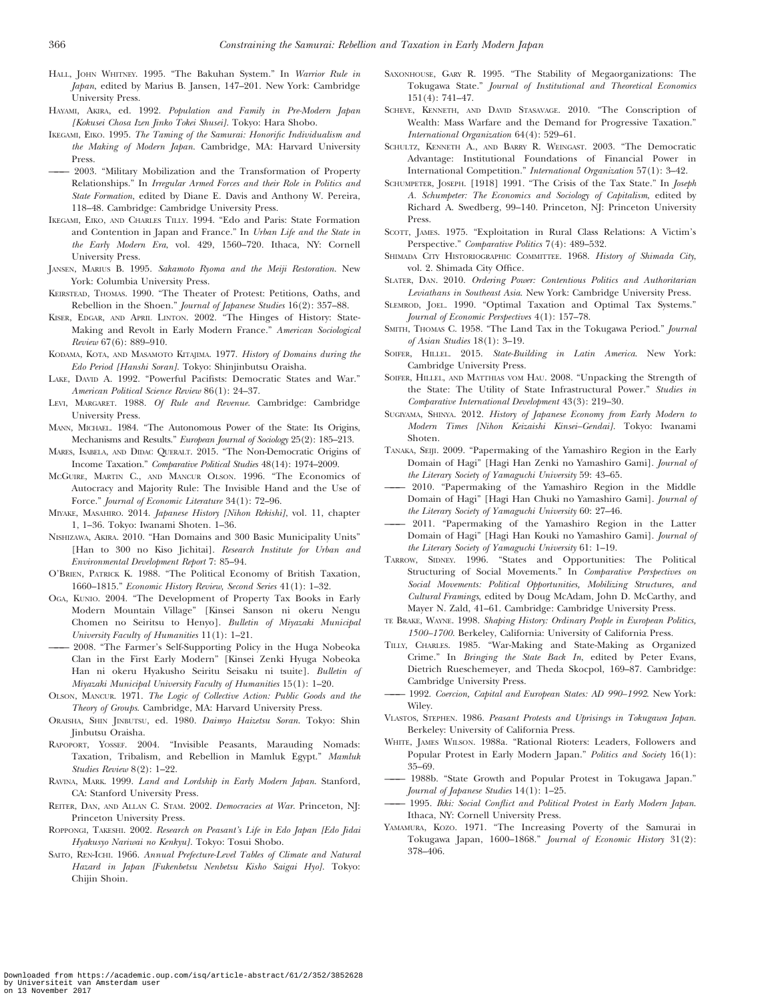- <span id="page-15-0"></span>HALL, JOHN WHITNEY. 1995. "The Bakuhan System." In Warrior Rule in Japan, edited by Marius B. Jansen, 147–201. New York: Cambridge University Press.
- HAYAMI, AKIRA, ed. 1992. Population and Family in Pre-Modern Japan [Kokusei Chosa Izen Jinko Tokei Shusei]. Tokyo: Hara Shobo.
- IKEGAMI, EIKO. 1995. The Taming of the Samurai: Honorific Individualism and the Making of Modern Japan. Cambridge, MA: Harvard University Press.
- 2003. "Military Mobilization and the Transformation of Property Relationships." In Irregular Armed Forces and their Role in Politics and State Formation, edited by Diane E. Davis and Anthony W. Pereira, 118–48. Cambridge: Cambridge University Press.
- IKEGAMI, EIKO, AND CHARLES TILLY. 1994. "Edo and Paris: State Formation and Contention in Japan and France." In Urban Life and the State in the Early Modern Era, vol. 429, 1560–720. Ithaca, NY: Cornell University Press.
- JANSEN, MARIUS B. 1995. Sakamoto Ryoma and the Meiji Restoration. New York: Columbia University Press.
- KEIRSTEAD, THOMAS. 1990. "The Theater of Protest: Petitions, Oaths, and Rebellion in the Shoen." Journal of Japanese Studies 16(2): 357–88.
- KISER, EDGAR, AND APRIL LINTON. 2002. "The Hinges of History: State-Making and Revolt in Early Modern France." American Sociological Review 67(6): 889–910.
- KODAMA, KOTA, AND MASAMOTO KITAJIMA. 1977. History of Domains during the Edo Period [Hanshi Soran]. Tokyo: Shinjinbutsu Oraisha.
- LAKE, DAVID A. 1992. "Powerful Pacifists: Democratic States and War." American Political Science Review 86(1): 24–37.
- LEVI, MARGARET. 1988. Of Rule and Revenue. Cambridge: Cambridge University Press.
- MANN, MICHAEL. 1984. "The Autonomous Power of the State: Its Origins, Mechanisms and Results." European Journal of Sociology 25(2): 185–213.
- MARES, ISABELA, AND DIDAC QUERALT. 2015. "The Non-Democratic Origins of Income Taxation." Comparative Political Studies 48(14): 1974–2009.
- MCGUIRE, MARTIN C., AND MANCUR OLSON. 1996. "The Economics of Autocracy and Majority Rule: The Invisible Hand and the Use of Force." Journal of Economic Literature 34(1): 72–96.
- MIYAKE, MASAHIRO. 2014. Japanese History [Nihon Rekishi], vol. 11, chapter 1, 1–36. Tokyo: Iwanami Shoten. 1–36.
- NISHIZAWA, AKIRA. 2010. "Han Domains and 300 Basic Municipality Units" [Han to 300 no Kiso Jichitai]. Research Institute for Urban and Environmental Development Report 7: 85–94.
- O'BRIEN, PATRICK K. 1988. "The Political Economy of British Taxation, 1660–1815." Economic History Review, Second Series 41(1): 1–32.
- OGA, KUNIO. 2004. "The Development of Property Tax Books in Early Modern Mountain Village" [Kinsei Sanson ni okeru Nengu Chomen no Seiritsu to Henyo]. Bulletin of Miyazaki Municipal University Faculty of Humanities 11(1): 1–21.
- 2008. "The Farmer's Self-Supporting Policy in the Huga Nobeoka Clan in the First Early Modern" [Kinsei Zenki Hyuga Nobeoka Han ni okeru Hyakusho Seiritu Seisaku ni tsuite]. Bulletin of Miyazaki Municipal University Faculty of Humanities 15(1): 1–20.
- OLSON, MANCUR. 1971. The Logic of Collective Action: Public Goods and the Theory of Groups. Cambridge, MA: Harvard University Press.
- ORAISHA, SHIN JINBUTSU, ed. 1980. Daimyo Haizetsu Soran. Tokyo: Shin Jinbutsu Oraisha.
- RAPOPORT, YOSSEF. 2004. "Invisible Peasants, Marauding Nomads: Taxation, Tribalism, and Rebellion in Mamluk Egypt." Mamluk Studies Review 8(2): 1–22.
- RAVINA, MARK. 1999. Land and Lordship in Early Modern Japan. Stanford, CA: Stanford University Press.
- REITER, DAN, AND ALLAN C. STAM. 2002. Democracies at War. Princeton, NJ: Princeton University Press.
- ROPPONGI, TAKESHI. 2002. Research on Peasant's Life in Edo Japan [Edo Jidai Hyakusyo Nariwai no Kenkyu]. Tokyo: Tosui Shobo.
- SAITO, REN-ICHI. 1966. Annual Prefecture-Level Tables of Climate and Natural Hazard in Japan [Fukenbetsu Nenbetsu Kisho Saigai Hyo]. Tokyo: Chijin Shoin.
- SAXONHOUSE, GARY R. 1995. "The Stability of Megaorganizations: The Tokugawa State." Journal of Institutional and Theoretical Economics 151(4): 741–47.
- SCHEVE, KENNETH, AND DAVID STASAVAGE. 2010. "The Conscription of Wealth: Mass Warfare and the Demand for Progressive Taxation." International Organization 64(4): 529–61.
- SCHULTZ, KENNETH A., AND BARRY R. WEINGAST. 2003. "The Democratic Advantage: Institutional Foundations of Financial Power in International Competition." International Organization 57(1): 3–42.
- SCHUMPETER, JOSEPH. [1918] 1991. "The Crisis of the Tax State." In Joseph A. Schumpeter: The Economics and Sociology of Capitalism, edited by Richard A. Swedberg, 99–140. Princeton, NJ: Princeton University Press.
- SCOTT, JAMES. 1975. "Exploitation in Rural Class Relations: A Victim's Perspective." Comparative Politics 7(4): 489-532.
- SHIMADA CITY HISTORIOGRAPHIC COMMITTEE. 1968. History of Shimada City, vol. 2. Shimada City Office.
- SLATER, DAN. 2010. Ordering Power: Contentious Politics and Authoritarian Leviathans in Southeast Asia. New York: Cambridge University Press.
- SLEMROD, JOEL. 1990. "Optimal Taxation and Optimal Tax Systems." Journal of Economic Perspectives 4(1): 157–78.
- SMITH, THOMAS C. 1958. "The Land Tax in the Tokugawa Period." Journal of Asian Studies 18(1): 3–19.
- SOIFER, HILLEL. 2015. State-Building in Latin America. New York: Cambridge University Press.
- SOIFER, HILLEL, AND MATTHIAS VOM HAU. 2008. "Unpacking the Strength of the State: The Utility of State Infrastructural Power." Studies in Comparative International Development 43(3): 219–30.
- SUGIYAMA, SHINYA. 2012. History of Japanese Economy from Early Modern to Modern Times [Nihon Keizaishi Kinsei–Gendai]. Tokyo: Iwanami Shoten.
- TANAKA, SEIJI. 2009. "Papermaking of the Yamashiro Region in the Early Domain of Hagi" [Hagi Han Zenki no Yamashiro Gami]. Journal of the Literary Society of Yamaguchi University 59: 43–65.
- 2010. "Papermaking of the Yamashiro Region in the Middle Domain of Hagi" [Hagi Han Chuki no Yamashiro Gami]. Journal of the Literary Society of Yamaguchi University 60: 27–46.
- 2011. "Papermaking of the Yamashiro Region in the Latter Domain of Hagi" [Hagi Han Kouki no Yamashiro Gami]. Journal of the Literary Society of Yamaguchi University 61: 1–19.
- TARROW, SIDNEY. 1996. "States and Opportunities: The Political Structuring of Social Movements." In Comparative Perspectives on Social Movements: Political Opportunities, Mobilizing Structures, and Cultural Framings, edited by Doug McAdam, John D. McCarthy, and Mayer N. Zald, 41–61. Cambridge: Cambridge University Press.
- TE BRAKE, WAYNE. 1998. Shaping History: Ordinary People in European Politics, 1500–1700. Berkeley, California: University of California Press.
- TILLY, CHARLES. 1985. "War-Making and State-Making as Organized Crime." In Bringing the State Back In, edited by Peter Evans, Dietrich Rueschemeyer, and Theda Skocpol, 169–87. Cambridge: Cambridge University Press.
- 1992. Coercion, Capital and European States: AD 990-1992. New York: Wiley.
- VLASTOS, STEPHEN. 1986. Peasant Protests and Uprisings in Tokugawa Japan. Berkeley: University of California Press.
- WHITE, JAMES WILSON. 1988a. "Rational Rioters: Leaders, Followers and Popular Protest in Early Modern Japan." Politics and Society 16(1): 35–69.
- ——— 1988b. "State Growth and Popular Protest in Tokugawa Japan." Journal of Japanese Studies 14(1): 1–25.
- 1995. Ikki: Social Conflict and Political Protest in Early Modern Japan. Ithaca, NY: Cornell University Press.
- YAMAMURA, KOZO. 1971. "The Increasing Poverty of the Samurai in Tokugawa Japan, 1600–1868." Journal of Economic History 31(2): 378–406.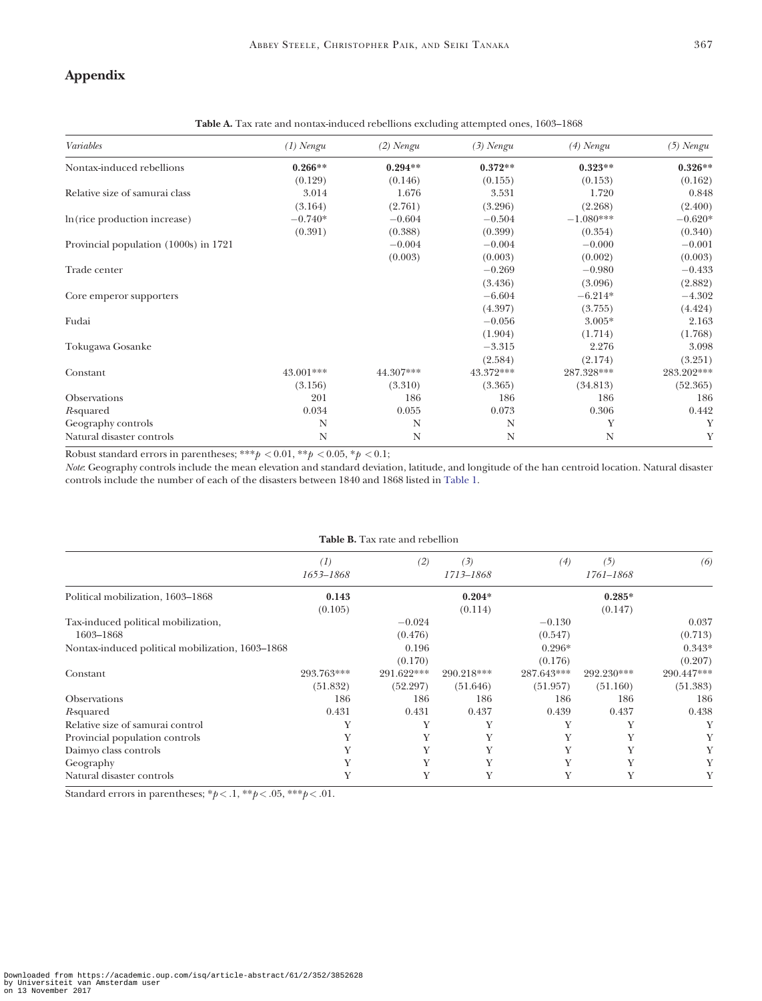# Appendix

|  |  | Table A. Tax rate and nontax-induced rebellions excluding attempted ones, 1603-1868 |  |  |  |  |  |  |
|--|--|-------------------------------------------------------------------------------------|--|--|--|--|--|--|
|--|--|-------------------------------------------------------------------------------------|--|--|--|--|--|--|

| Variables                             | $(1)$ Nengu | $(2)$ Nengu | $(3)$ Nengu | $(4)$ Nengu | $(5)$ Nengu |
|---------------------------------------|-------------|-------------|-------------|-------------|-------------|
| Nontax-induced rebellions             | $0.266**$   | $0.294**$   | $0.372**$   | $0.323**$   | $0.326**$   |
|                                       | (0.129)     | (0.146)     | (0.155)     | (0.153)     | (0.162)     |
| Relative size of samurai class        | 3.014       | 1.676       | 3.531       | 1.720       | 0.848       |
|                                       | (3.164)     | (2.761)     | (3.296)     | (2.268)     | (2.400)     |
| In (rice production increase)         | $-0.740*$   | $-0.604$    | $-0.504$    | $-1.080***$ | $-0.620*$   |
|                                       | (0.391)     | (0.388)     | (0.399)     | (0.354)     | (0.340)     |
| Provincial population (1000s) in 1721 |             | $-0.004$    | $-0.004$    | $-0.000$    | $-0.001$    |
|                                       |             | (0.003)     | (0.003)     | (0.002)     | (0.003)     |
| Trade center                          |             |             | $-0.269$    | $-0.980$    | $-0.433$    |
|                                       |             |             | (3.436)     | (3.096)     | (2.882)     |
| Core emperor supporters               |             |             | $-6.604$    | $-6.214*$   | $-4.302$    |
|                                       |             |             | (4.397)     | (3.755)     | (4.424)     |
| Fudai                                 |             |             | $-0.056$    | $3.005*$    | 2.163       |
|                                       |             |             | (1.904)     | (1.714)     | (1.768)     |
| Tokugawa Gosanke                      |             |             | $-3.315$    | 2.276       | 3.098       |
|                                       |             |             | (2.584)     | (2.174)     | (3.251)     |
| Constant                              | 43.001***   | 44.307***   | 43.372***   | 287.328***  | 283.202***  |
|                                       | (3.156)     | (3.310)     | (3.365)     | (34.813)    | (52.365)    |
| Observations                          | 201         | 186         | 186         | 186         | 186         |
| R-squared                             | 0.034       | 0.055       | 0.073       | 0.306       | 0.442       |
| Geography controls                    | N           | N           | N           | Υ           | Υ           |
| Natural disaster controls             | N           | N           | N           | N           | Υ           |

Robust standard errors in parentheses; \*\*\*  $p < 0.01$ , \*\* $p < 0.05$ , \* $p < 0.1$ ;

Note: Geography controls include the mean elevation and standard deviation, latitude, and longitude of the han centroid location. Natural disaster controls include the number of each of the disasters between 1840 and 1868 listed in [Table 1.](#page-10-0)

| Table B. Tax rate and rebellion                  |                               |            |                  |            |                  |            |  |
|--------------------------------------------------|-------------------------------|------------|------------------|------------|------------------|------------|--|
|                                                  | $\left(1\right)$<br>1653-1868 | (2)        | (3)<br>1713-1868 | (4)        | (5)<br>1761-1868 | (6)        |  |
| Political mobilization, 1603–1868                | 0.143                         |            | $0.204*$         |            | $0.285*$         |            |  |
|                                                  | (0.105)                       |            | (0.114)          |            | (0.147)          |            |  |
| Tax-induced political mobilization,              |                               | $-0.024$   |                  | $-0.130$   |                  | 0.037      |  |
| 1603-1868                                        |                               | (0.476)    |                  | (0.547)    |                  | (0.713)    |  |
| Nontax-induced political mobilization, 1603-1868 |                               | 0.196      |                  | $0.296*$   |                  | $0.343*$   |  |
|                                                  |                               | (0.170)    |                  | (0.176)    |                  | (0.207)    |  |
| Constant                                         | 293.763***                    | 291.622*** | 290.218***       | 287.643*** | 292.230***       | 290.447*** |  |
|                                                  | (51.832)                      | (52.297)   | (51.646)         | (51.957)   | (51.160)         | (51.383)   |  |
| Observations                                     | 186                           | 186        | 186              | 186        | 186              | 186        |  |
| R-squared                                        | 0.431                         | 0.431      | 0.437            | 0.439      | 0.437            | 0.438      |  |
| Relative size of samurai control                 | Υ                             |            |                  |            | Υ                |            |  |
| Provincial population controls                   |                               |            |                  |            |                  |            |  |
| Daimyo class controls                            |                               |            |                  | Υ          |                  |            |  |
| Geography                                        | Y                             | Y          |                  | Y          | Y                |            |  |
| Natural disaster controls                        |                               | Y          |                  | Υ          | Υ                |            |  |

Standard errors in parentheses;  $*\!p\!<1, **p\!<.05, **p\!<.01$ .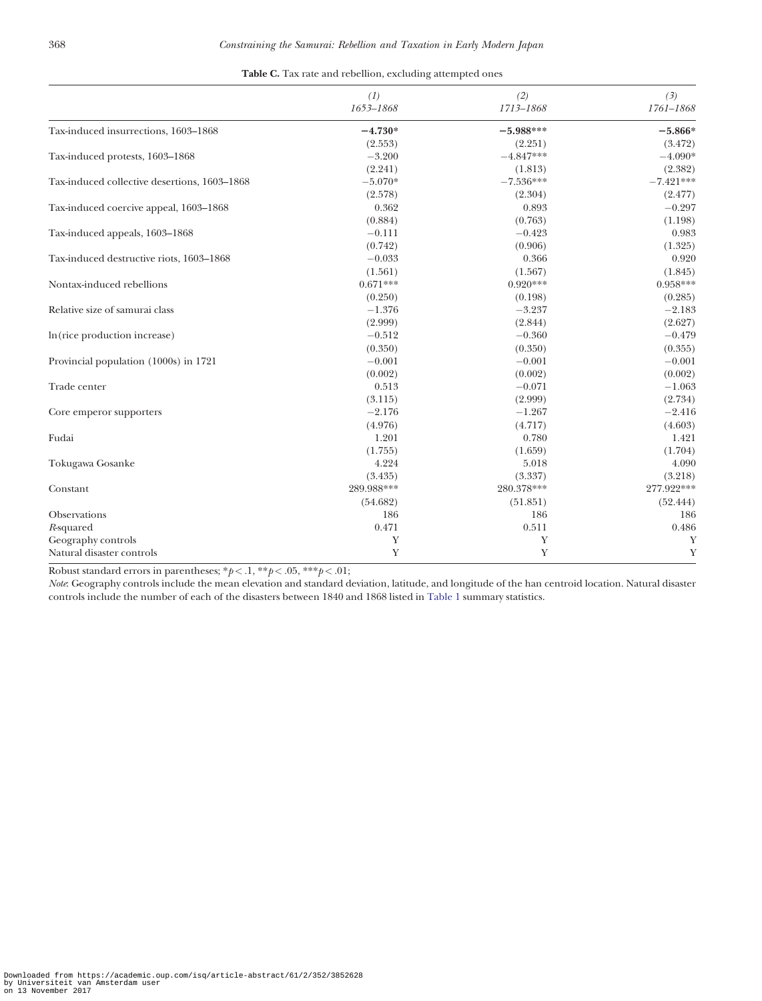| Table C. Tax rate and rebellion, excluding attempted ones |  |
|-----------------------------------------------------------|--|
|-----------------------------------------------------------|--|

|                                              | (1)        | (2)         | (3)         |
|----------------------------------------------|------------|-------------|-------------|
|                                              | 1653-1868  | 1713-1868   | 1761-1868   |
| Tax-induced insurrections, 1603-1868         | $-4.730*$  | $-5.988***$ | $-5.866*$   |
|                                              | (2.553)    | (2.251)     | (3.472)     |
| Tax-induced protests, 1603-1868              | $-3.200$   | $-4.847***$ | $-4.090*$   |
|                                              | (2.241)    | (1.813)     | (2.382)     |
| Tax-induced collective desertions, 1603-1868 | $-5.070*$  | $-7.536***$ | $-7.421***$ |
|                                              | (2.578)    | (2.304)     | (2.477)     |
| Tax-induced coercive appeal, 1603-1868       | 0.362      | 0.893       | $-0.297$    |
|                                              | (0.884)    | (0.763)     | (1.198)     |
| Tax-induced appeals, 1603-1868               | $-0.111$   | $-0.423$    | 0.983       |
|                                              | (0.742)    | (0.906)     | (1.325)     |
| Tax-induced destructive riots, 1603-1868     | $-0.033$   | 0.366       | 0.920       |
|                                              | (1.561)    | (1.567)     | (1.845)     |
| Nontax-induced rebellions                    | $0.671***$ | $0.920***$  | $0.958***$  |
|                                              | (0.250)    | (0.198)     | (0.285)     |
| Relative size of samurai class               | $-1.376$   | $-3.237$    | $-2.183$    |
|                                              | (2.999)    | (2.844)     | (2.627)     |
| In (rice production increase)                | $-0.512$   | $-0.360$    | $-0.479$    |
|                                              | (0.350)    | (0.350)     | (0.355)     |
| Provincial population (1000s) in 1721        | $-0.001$   | $-0.001$    | $-0.001$    |
|                                              | (0.002)    | (0.002)     | (0.002)     |
| Trade center                                 | 0.513      | $-0.071$    | $-1.063$    |
|                                              | (3.115)    | (2.999)     | (2.734)     |
| Core emperor supporters                      | $-2.176$   | $-1.267$    | $-2.416$    |
|                                              | (4.976)    | (4.717)     | (4.603)     |
| Fudai                                        | 1.201      | 0.780       | 1.421       |
|                                              | (1.755)    | (1.659)     | (1.704)     |
| Tokugawa Gosanke                             | 4.224      | 5.018       | 4.090       |
|                                              | (3.435)    | (3.337)     | (3.218)     |
| Constant                                     | 289.988*** | 280.378***  | 277.922***  |
|                                              | (54.682)   | (51.851)    | (52.444)    |
| Observations                                 | 186        | 186         | 186         |
| <b>R</b> -squared                            | 0.471      | 0.511       | 0.486       |
| Geography controls                           | Y          | Y           | Y           |
| Natural disaster controls                    | Y          | Y           | Y           |

Robust standard errors in parentheses;  $\frac{p}{4} < 0.1$ ,  $\frac{p}{6} < 0.05$ ,  $\frac{p}{3} < 0.01$ ;

Note: Geography controls include the mean elevation and standard deviation, latitude, and longitude of the han centroid location. Natural disaster controls include the number of each of the disasters between 1840 and 1868 listed in [Table 1](#page-10-0) summary statistics.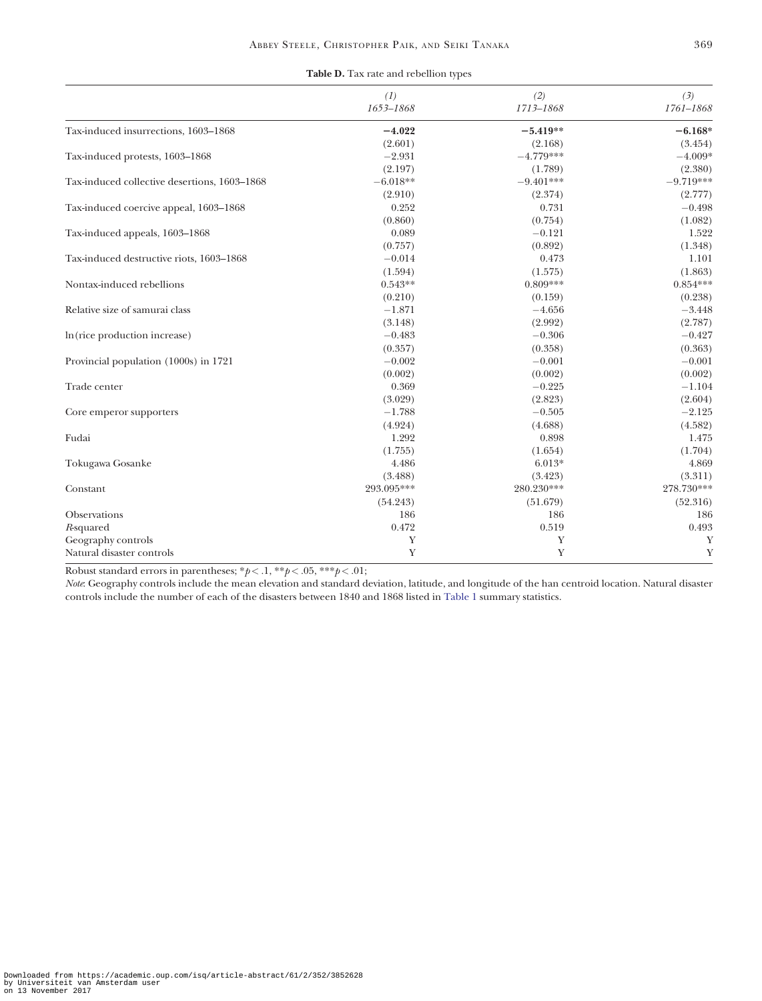|  | Table D. Tax rate and rebellion types |
|--|---------------------------------------|
|--|---------------------------------------|

|                                              | (1)        | (2)         | (3)         |
|----------------------------------------------|------------|-------------|-------------|
|                                              | 1653-1868  | 1713-1868   | 1761-1868   |
| Tax-induced insurrections, 1603-1868         | $-4.022$   | $-5.419**$  | $-6.168*$   |
|                                              | (2.601)    | (2.168)     | (3.454)     |
| Tax-induced protests, 1603-1868              | $-2.931$   | $-4.779***$ | $-4.009*$   |
|                                              | (2.197)    | (1.789)     | (2.380)     |
| Tax-induced collective desertions, 1603-1868 | $-6.018**$ | $-9.401***$ | $-9.719***$ |
|                                              | (2.910)    | (2.374)     | (2.777)     |
| Tax-induced coercive appeal, 1603-1868       | 0.252      | 0.731       | $-0.498$    |
|                                              | (0.860)    | (0.754)     | (1.082)     |
| Tax-induced appeals, 1603-1868               | 0.089      | $-0.121$    | 1.522       |
|                                              | (0.757)    | (0.892)     | (1.348)     |
| Tax-induced destructive riots, 1603-1868     | $-0.014$   | 0.473       | 1.101       |
|                                              | (1.594)    | (1.575)     | (1.863)     |
| Nontax-induced rebellions                    | $0.543**$  | $0.809***$  | $0.854***$  |
|                                              | (0.210)    | (0.159)     | (0.238)     |
| Relative size of samurai class               | $-1.871$   | $-4.656$    | $-3.448$    |
|                                              | (3.148)    | (2.992)     | (2.787)     |
| In (rice production increase)                | $-0.483$   | $-0.306$    | $-0.427$    |
|                                              | (0.357)    | (0.358)     | (0.363)     |
| Provincial population (1000s) in 1721        | $-0.002$   | $-0.001$    | $-0.001$    |
|                                              | (0.002)    | (0.002)     | (0.002)     |
| Trade center                                 | 0.369      | $-0.225$    | $-1.104$    |
|                                              | (3.029)    | (2.823)     | (2.604)     |
| Core emperor supporters                      | $-1.788$   | $-0.505$    | $-2.125$    |
|                                              | (4.924)    | (4.688)     | (4.582)     |
| Fudai                                        | 1.292      | 0.898       | 1.475       |
|                                              | (1.755)    | (1.654)     | (1.704)     |
| Tokugawa Gosanke                             | 4.486      | $6.013*$    | 4.869       |
|                                              | (3.488)    | (3.423)     | (3.311)     |
| Constant                                     | 293.095*** | 280.230***  | 278.730***  |
|                                              | (54.243)   | (51.679)    | (52.316)    |
| Observations                                 | 186        | 186         | 186         |
| <b>R</b> -squared                            | 0.472      | 0.519       | 0.493       |
| Geography controls                           | Υ          | Υ           | Y           |
| Natural disaster controls                    | Y          | Y           | Y           |

Robust standard errors in parentheses;  $\frac{p}{4} < 0.1$ ,  $\frac{p}{6} < 0.05$ ,  $\frac{p}{3} < 0.01$ ;

Note: Geography controls include the mean elevation and standard deviation, latitude, and longitude of the han centroid location. Natural disaster controls include the number of each of the disasters between 1840 and 1868 listed in [Table 1](#page-10-0) summary statistics.